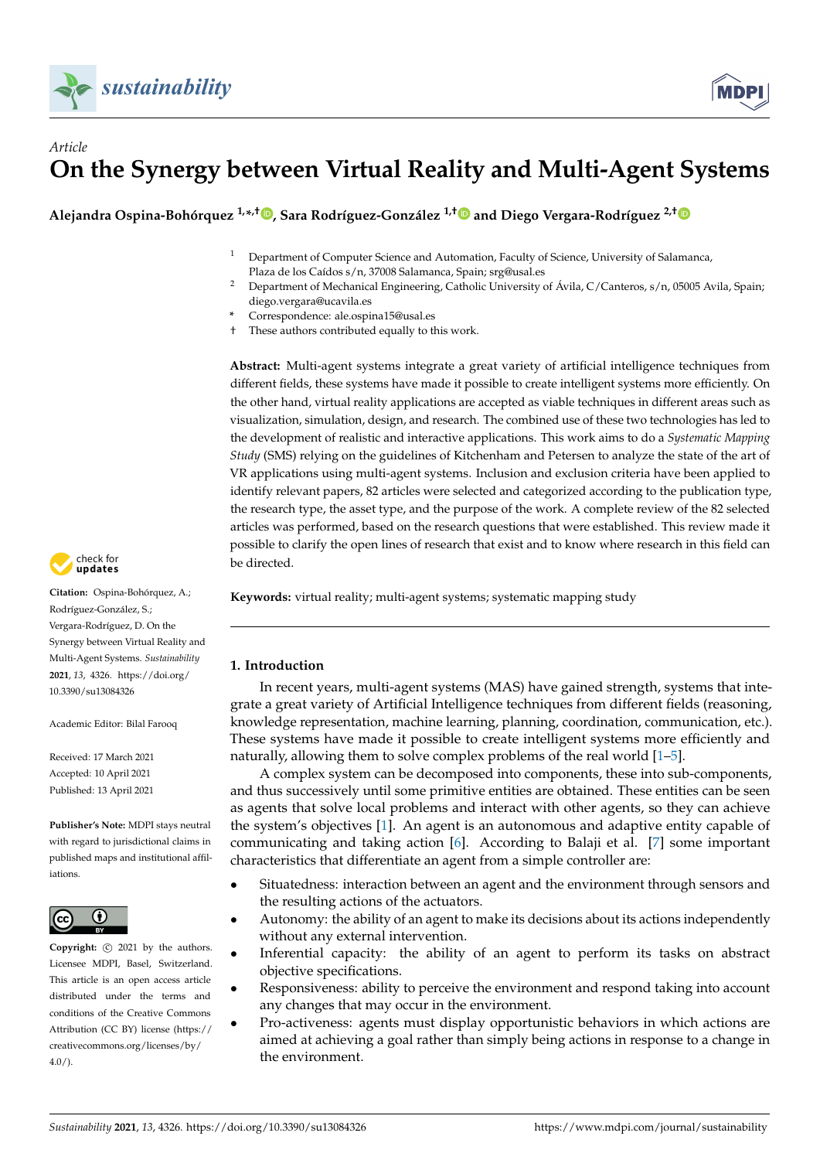

# *Article* **On the Synergy between Virtual Reality and Multi-Agent Systems**

**Alejandra Ospina-Bohórquez 1,\* ,† [,](https://orcid.org/0000-0003-1103-9966) Sara Rodríguez-González 1,[†](https://orcid.org/0000-0002-3081-5177) and Diego Vergara-Rodríguez 2,[†](https://orcid.org/0000-0003-3710-4818)**

- <sup>1</sup> Department of Computer Science and Automation, Faculty of Science, University of Salamanca, Plaza de los Caídos s/n, 37008 Salamanca, Spain; srg@usal.es
- <sup>2</sup> Department of Mechanical Engineering, Catholic University of Ávila, C/Canteros, s/n, 05005 Avila, Spain; diego.vergara@ucavila.es
- **\*** Correspondence: ale.ospina15@usal.es
- <span id="page-0-0"></span>† These authors contributed equally to this work.

**Abstract:** Multi-agent systems integrate a great variety of artificial intelligence techniques from different fields, these systems have made it possible to create intelligent systems more efficiently. On the other hand, virtual reality applications are accepted as viable techniques in different areas such as visualization, simulation, design, and research. The combined use of these two technologies has led to the development of realistic and interactive applications. This work aims to do a *Systematic Mapping Study* (SMS) relying on the guidelines of Kitchenham and Petersen to analyze the state of the art of VR applications using multi-agent systems. Inclusion and exclusion criteria have been applied to identify relevant papers, 82 articles were selected and categorized according to the publication type, the research type, the asset type, and the purpose of the work. A complete review of the 82 selected articles was performed, based on the research questions that were established. This review made it possible to clarify the open lines of research that exist and to know where research in this field can be directed.

**Keywords:** virtual reality; multi-agent systems; systematic mapping study

### **1. Introduction**

In recent years, multi-agent systems (MAS) have gained strength, systems that integrate a great variety of Artificial Intelligence techniques from different fields (reasoning, knowledge representation, machine learning, planning, coordination, communication, etc.). These systems have made it possible to create intelligent systems more efficiently and naturally, allowing them to solve complex problems of the real world [\[1](#page-24-0)[–5\]](#page-24-1).

A complex system can be decomposed into components, these into sub-components, and thus successively until some primitive entities are obtained. These entities can be seen as agents that solve local problems and interact with other agents, so they can achieve the system's objectives [\[1\]](#page-24-0). An agent is an autonomous and adaptive entity capable of communicating and taking action [\[6\]](#page-24-2). According to Balaji et al. [\[7\]](#page-24-3) some important characteristics that differentiate an agent from a simple controller are:

- Situatedness: interaction between an agent and the environment through sensors and the resulting actions of the actuators.
- Autonomy: the ability of an agent to make its decisions about its actions independently without any external intervention.
- Inferential capacity: the ability of an agent to perform its tasks on abstract objective specifications.
- Responsiveness: ability to perceive the environment and respond taking into account any changes that may occur in the environment.
- Pro-activeness: agents must display opportunistic behaviors in which actions are aimed at achieving a goal rather than simply being actions in response to a change in the environment.



**Citation:** Ospina-Bohórquez, A.; Rodríguez-González, S.; Vergara-Rodríguez, D. On the Synergy between Virtual Reality and Multi-Agent Systems. *Sustainability* **2021**, *13*, 4326. [https://doi.org/](https://doi.org/10.3390/su13084326) [10.3390/su13084326](https://doi.org/10.3390/su13084326)

Academic Editor: Bilal Farooq

Received: 17 March 2021 Accepted: 10 April 2021 Published: 13 April 2021

**Publisher's Note:** MDPI stays neutral with regard to jurisdictional claims in published maps and institutional affiliations.



**Copyright:**  $\odot$  2021 by the authors. Licensee MDPI, Basel, Switzerland. This article is an open access article distributed under the terms and conditions of the Creative Commons Attribution (CC BY) license (https:/[/](https://creativecommons.org/licenses/by/4.0/) [creativecommons.org/licenses/by/](https://creativecommons.org/licenses/by/4.0/)  $4.0/$ ).

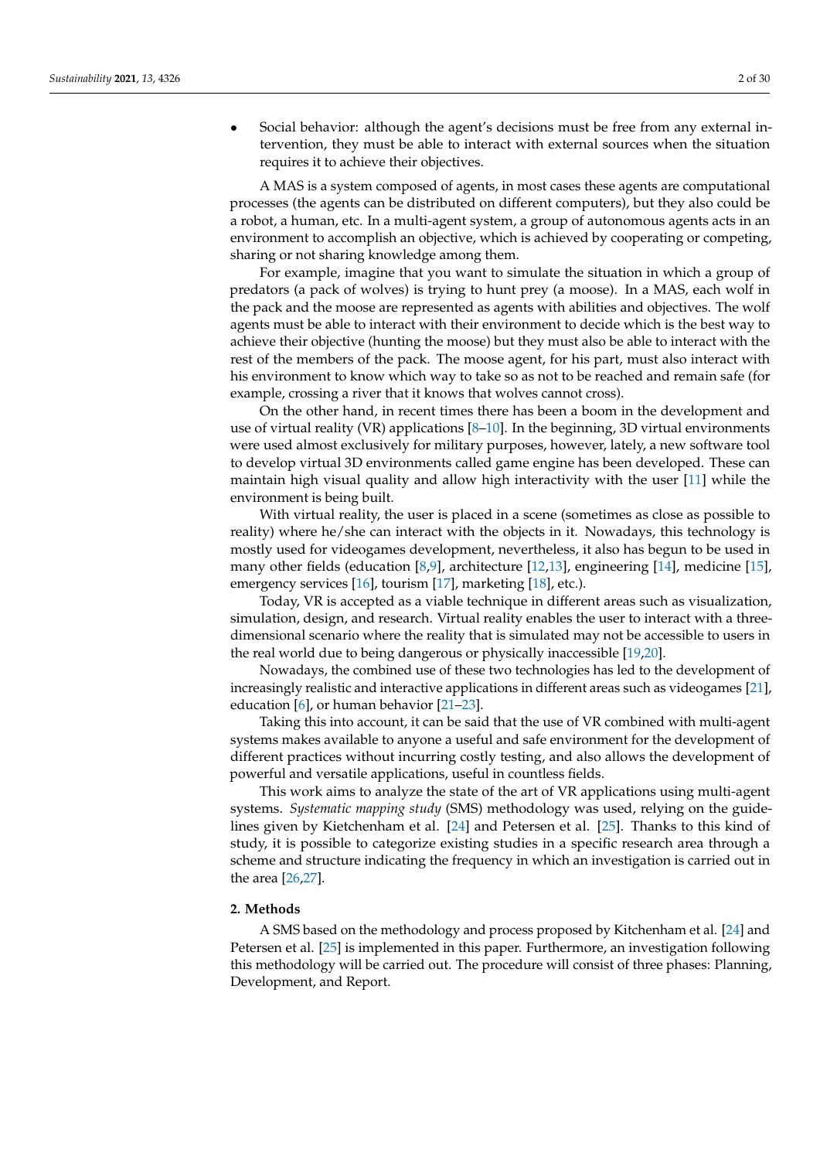• Social behavior: although the agent's decisions must be free from any external intervention, they must be able to interact with external sources when the situation requires it to achieve their objectives.

A MAS is a system composed of agents, in most cases these agents are computational processes (the agents can be distributed on different computers), but they also could be a robot, a human, etc. In a multi-agent system, a group of autonomous agents acts in an environment to accomplish an objective, which is achieved by cooperating or competing, sharing or not sharing knowledge among them.

For example, imagine that you want to simulate the situation in which a group of predators (a pack of wolves) is trying to hunt prey (a moose). In a MAS, each wolf in the pack and the moose are represented as agents with abilities and objectives. The wolf agents must be able to interact with their environment to decide which is the best way to achieve their objective (hunting the moose) but they must also be able to interact with the rest of the members of the pack. The moose agent, for his part, must also interact with his environment to know which way to take so as not to be reached and remain safe (for example, crossing a river that it knows that wolves cannot cross).

On the other hand, in recent times there has been a boom in the development and use of virtual reality (VR) applications  $[8-10]$  $[8-10]$ . In the beginning, 3D virtual environments were used almost exclusively for military purposes, however, lately, a new software tool to develop virtual 3D environments called game engine has been developed. These can maintain high visual quality and allow high interactivity with the user [\[11\]](#page-24-6) while the environment is being built.

With virtual reality, the user is placed in a scene (sometimes as close as possible to reality) where he/she can interact with the objects in it. Nowadays, this technology is mostly used for videogames development, nevertheless, it also has begun to be used in many other fields (education [\[8,](#page-24-4)[9\]](#page-24-7), architecture [\[12,](#page-24-8)[13\]](#page-24-9), engineering [\[14\]](#page-24-10), medicine [\[15\]](#page-24-11), emergency services [\[16\]](#page-24-12), tourism [\[17\]](#page-24-13), marketing [\[18\]](#page-24-14), etc.).

<span id="page-1-0"></span>Today, VR is accepted as a viable technique in different areas such as visualization, simulation, design, and research. Virtual reality enables the user to interact with a threedimensional scenario where the reality that is simulated may not be accessible to users in the real world due to being dangerous or physically inaccessible [\[19](#page-24-15)[,20\]](#page-24-16).

Nowadays, the combined use of these two technologies has led to the development of increasingly realistic and interactive applications in different areas such as videogames [\[21\]](#page-24-17), education [\[6\]](#page-24-2), or human behavior [\[21](#page-24-17)[–23\]](#page-24-18).

Taking this into account, it can be said that the use of VR combined with multi-agent systems makes available to anyone a useful and safe environment for the development of different practices without incurring costly testing, and also allows the development of powerful and versatile applications, useful in countless fields.

This work aims to analyze the state of the art of VR applications using multi-agent systems. *Systematic mapping study* (SMS) methodology was used, relying on the guidelines given by Kietchenham et al. [\[24\]](#page-24-19) and Petersen et al. [\[25\]](#page-24-20). Thanks to this kind of study, it is possible to categorize existing studies in a specific research area through a scheme and structure indicating the frequency in which an investigation is carried out in the area [\[26](#page-24-21)[,27\]](#page-25-0).

### **2. Methods**

A SMS based on the methodology and process proposed by Kitchenham et al. [\[24\]](#page-24-19) and Petersen et al. [\[25\]](#page-24-20) is implemented in this paper. Furthermore, an investigation following this methodology will be carried out. The procedure will consist of three phases: Planning, Development, and Report.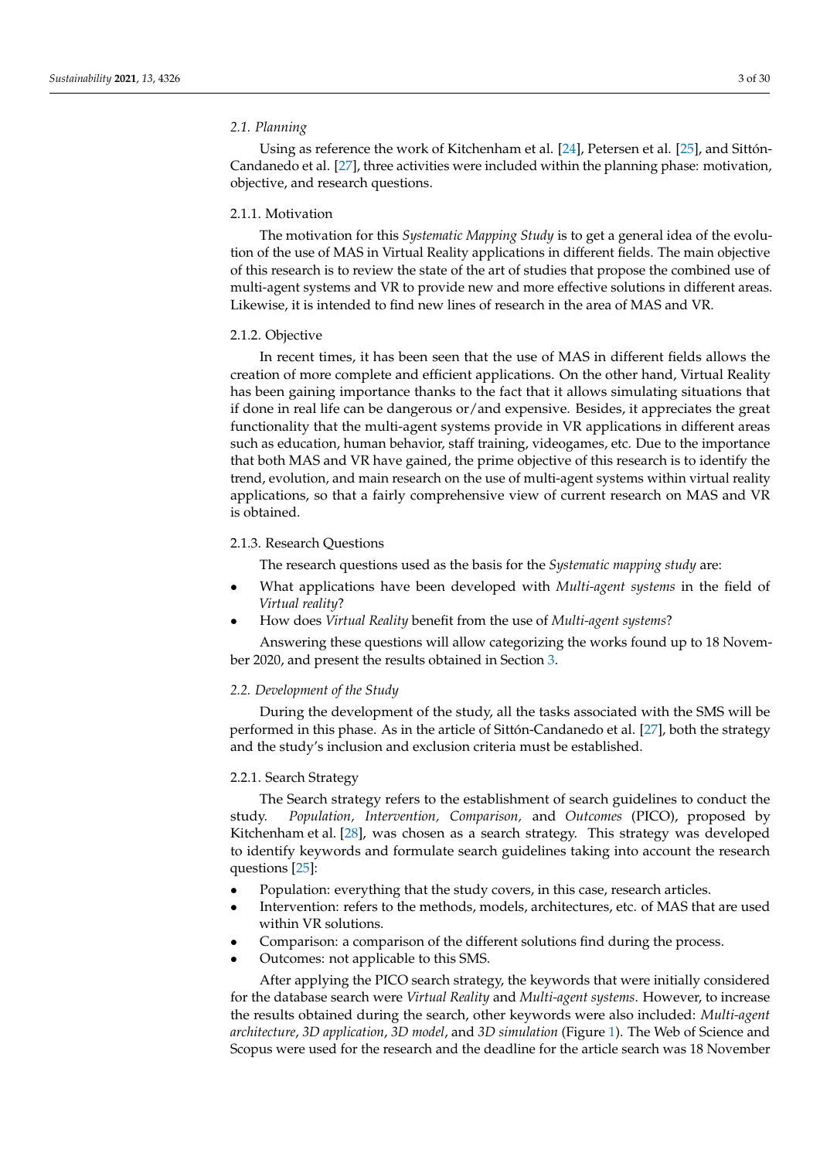### <span id="page-2-1"></span><span id="page-2-0"></span>*2.1. Planning*

Using as reference the work of Kitchenham et al. [\[24\]](#page-24-19), Petersen et al. [\[25\]](#page-24-20), and Sittón-Candanedo et al. [\[27\]](#page-25-0), three activities were included within the planning phase: motivation, objective, and research questions.

#### <span id="page-2-2"></span>2.1.1. Motivation

The motivation for this *Systematic Mapping Study* is to get a general idea of the evolution of the use of MAS in Virtual Reality applications in different fields. The main objective of this research is to review the state of the art of studies that propose the combined use of multi-agent systems and VR to provide new and more effective solutions in different areas. Likewise, it is intended to find new lines of research in the area of MAS and VR.

#### 2.1.2. Objective

<span id="page-2-3"></span>In recent times, it has been seen that the use of MAS in different fields allows the creation of more complete and efficient applications. On the other hand, Virtual Reality has been gaining importance thanks to the fact that it allows simulating situations that if done in real life can be dangerous or/and expensive. Besides, it appreciates the great functionality that the multi-agent systems provide in VR applications in different areas such as education, human behavior, staff training, videogames, etc. Due to the importance that both MAS and VR have gained, the prime objective of this research is to identify the trend, evolution, and main research on the use of multi-agent systems within virtual reality applications, so that a fairly comprehensive view of current research on MAS and VR is obtained.

#### <span id="page-2-4"></span>2.1.3. Research Questions

The research questions used as the basis for the *Systematic mapping study* are:

- What applications have been developed with *Multi-agent systems* in the field of *Virtual reality*?
- How does *Virtual Reality* benefit from the use of *Multi-agent systems*?

Answering these questions will allow categorizing the works found up to 18 November 2020, and present the results obtained in Section [3.](#page-6-0)

### *2.2. Development of the Study*

During the development of the study, all the tasks associated with the SMS will be performed in this phase. As in the article of Sittón-Candanedo et al. [\[27\]](#page-25-0), both the strategy and the study's inclusion and exclusion criteria must be established.

### 2.2.1. Search Strategy

The Search strategy refers to the establishment of search guidelines to conduct the study. *Population, Intervention, Comparison,* and *Outcomes* (PICO), proposed by Kitchenham et al. [\[28\]](#page-25-1), was chosen as a search strategy. This strategy was developed to identify keywords and formulate search guidelines taking into account the research questions [\[25\]](#page-24-20):

- Population: everything that the study covers, in this case, research articles.
- Intervention: refers to the methods, models, architectures, etc. of MAS that are used within VR solutions.
- Comparison: a comparison of the different solutions find during the process.
- Outcomes: not applicable to this SMS.

After applying the PICO search strategy, the keywords that were initially considered for the database search were *Virtual Reality* and *Multi-agent systems*. However, to increase the results obtained during the search, other keywords were also included: *Multi-agent architecture*, *3D application*, *3D model*, and *3D simulation* (Figure [1\)](#page-3-0). The Web of Science and Scopus were used for the research and the deadline for the article search was 18 November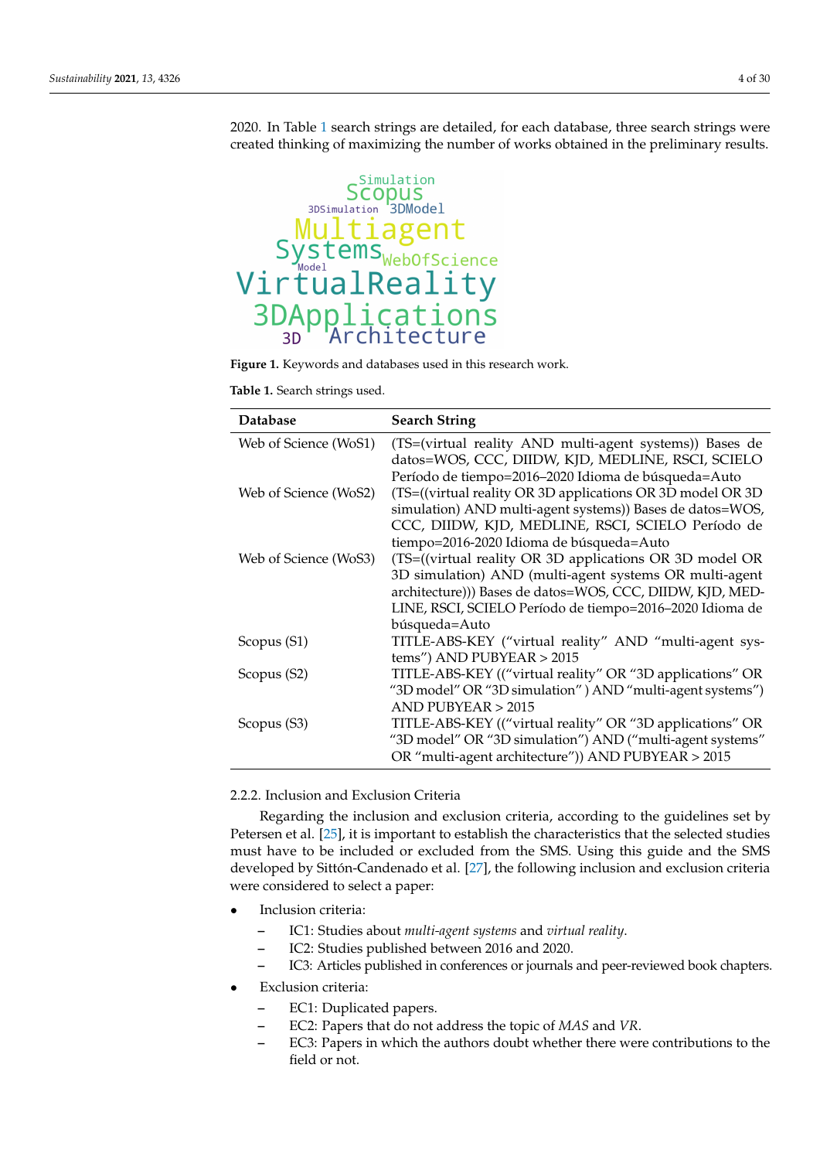<span id="page-3-2"></span>2020. In Table [1](#page-3-1) search strings are detailed, for each database, three search strings were created thinking of maximizing the number of works obtained in the preliminary results.

<span id="page-3-0"></span>

**Figure 1.** Keywords and databases used in this research work.

<span id="page-3-1"></span>**Table 1.** Search strings used.

<span id="page-3-3"></span>

| <b>Database</b>       | <b>Search String</b>                                                                                         |
|-----------------------|--------------------------------------------------------------------------------------------------------------|
| Web of Science (WoS1) | (TS=(virtual reality AND multi-agent systems)) Bases de<br>datos=WOS, CCC, DIIDW, KJD, MEDLINE, RSCI, SCIELO |
|                       | Período de tiempo=2016-2020 Idioma de búsqueda=Auto                                                          |
| Web of Science (WoS2) | (TS=((virtual reality OR 3D applications OR 3D model OR 3D                                                   |
|                       | simulation) AND multi-agent systems)) Bases de datos=WOS,                                                    |
|                       | CCC, DIIDW, KJD, MEDLINE, RSCI, SCIELO Período de                                                            |
|                       | tiempo=2016-2020 Idioma de búsqueda=Auto                                                                     |
| Web of Science (WoS3) | (TS=((virtual reality OR 3D applications OR 3D model OR                                                      |
|                       | 3D simulation) AND (multi-agent systems OR multi-agent                                                       |
|                       | architecture))) Bases de datos=WOS, CCC, DIIDW, KJD, MED-                                                    |
|                       | LINE, RSCI, SCIELO Período de tiempo=2016-2020 Idioma de                                                     |
|                       | búsqueda=Auto                                                                                                |
| Scopus (S1)           | TITLE-ABS-KEY ("virtual reality" AND "multi-agent sys-                                                       |
|                       | tems") AND PUBYEAR $> 2015$                                                                                  |
| Scopus (S2)           | TITLE-ABS-KEY (("virtual reality" OR "3D applications" OR                                                    |
|                       | "3D model" OR "3D simulation" ) AND "multi-agent systems")                                                   |
|                       | $AND$ PUBYEAR $> 2015$                                                                                       |
| Scopus (S3)           | TITLE-ABS-KEY (("virtual reality" OR "3D applications" OR                                                    |
|                       | "3D model" OR "3D simulation") AND ("multi-agent systems"                                                    |
|                       | OR "multi-agent architecture")) AND PUBYEAR > 2015                                                           |

2.2.2. Inclusion and Exclusion Criteria

Regarding the inclusion and exclusion criteria, according to the guidelines set by Petersen et al. [\[25\]](#page-24-20), it is important to establish the characteristics that the selected studies must have to be included or excluded from the SMS. Using this guide and the SMS developed by Sittón-Candenado et al. [\[27\]](#page-25-0), the following inclusion and exclusion criteria were considered to select a paper:

- Inclusion criteria:
	- **–** IC1: Studies about *multi-agent systems* and *virtual reality*.
	- **–** IC2: Studies published between 2016 and 2020.
	- **–** IC3: Articles published in conferences or journals and peer-reviewed book chapters.
- **Exclusion criteria:** 
	- **–** EC1: Duplicated papers.
	- **–** EC2: Papers that do not address the topic of *MAS* and *VR*.
	- **–** EC3: Papers in which the authors doubt whether there were contributions to the field or not.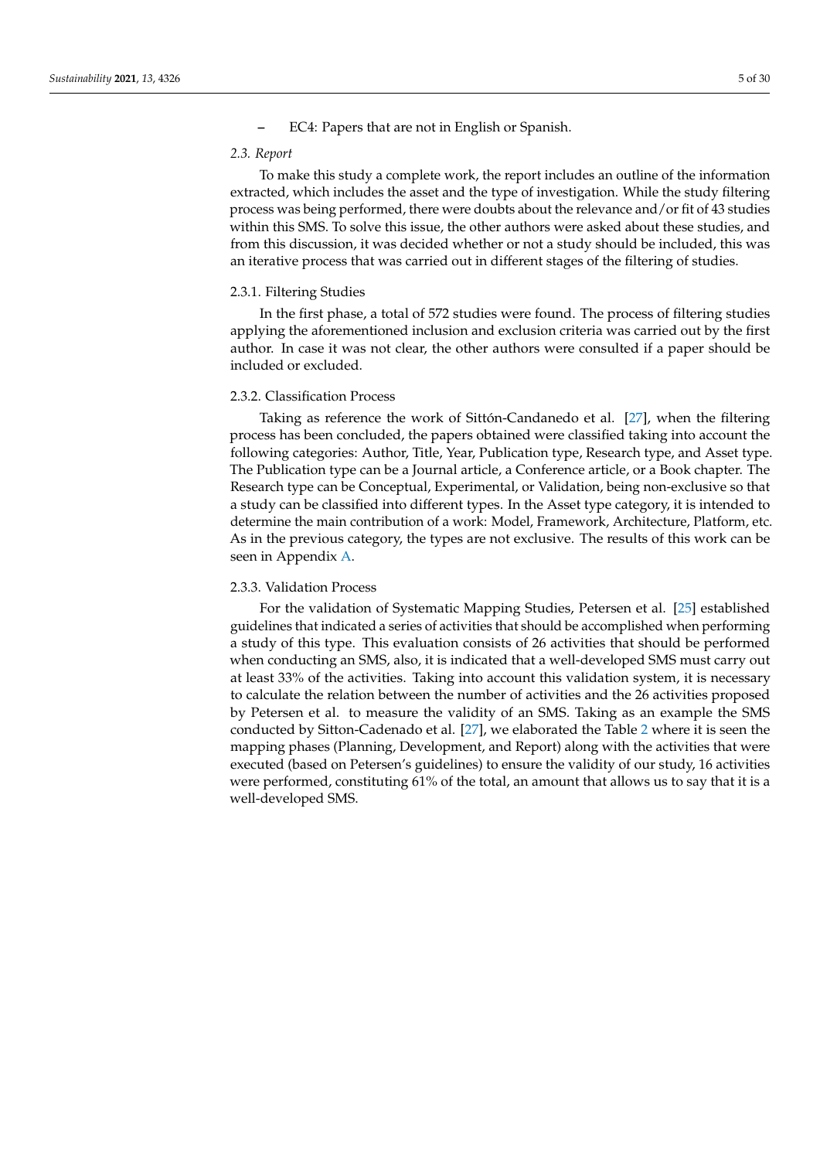<span id="page-4-0"></span>**–** EC4: Papers that are not in English or Spanish.

#### *2.3. Report*

To make this study a complete work, the report includes an outline of the information extracted, which includes the asset and the type of investigation. While the study filtering process was being performed, there were doubts about the relevance and/or fit of 43 studies within this SMS. To solve this issue, the other authors were asked about these studies, and from this discussion, it was decided whether or not a study should be included, this was an iterative process that was carried out in different stages of the filtering of studies.

### <span id="page-4-1"></span>2.3.1. Filtering Studies

In the first phase, a total of 572 studies were found. The process of filtering studies applying the aforementioned inclusion and exclusion criteria was carried out by the first author. In case it was not clear, the other authors were consulted if a paper should be included or excluded.

#### 2.3.2. Classification Process

Taking as reference the work of Sittón-Candanedo et al. [\[27\]](#page-25-0), when the filtering process has been concluded, the papers obtained were classified taking into account the following categories: Author, Title, Year, Publication type, Research type, and Asset type. The Publication type can be a Journal article, a Conference article, or a Book chapter. The Research type can be Conceptual, Experimental, or Validation, being non-exclusive so that a study can be classified into different types. In the Asset type category, it is intended to determine the main contribution of a work: Model, Framework, Architecture, Platform, etc. As in the previous category, the types are not exclusive. The results of this work can be seen in Appendix [A.](#page-19-0)

### 2.3.3. Validation Process

For the validation of Systematic Mapping Studies, Petersen et al. [\[25\]](#page-24-20) established guidelines that indicated a series of activities that should be accomplished when performing a study of this type. This evaluation consists of 26 activities that should be performed when conducting an SMS, also, it is indicated that a well-developed SMS must carry out at least 33% of the activities. Taking into account this validation system, it is necessary to calculate the relation between the number of activities and the 26 activities proposed by Petersen et al. to measure the validity of an SMS. Taking as an example the SMS conducted by Sitton-Cadenado et al. [\[27\]](#page-25-0), we elaborated the Table [2](#page-5-0) where it is seen the mapping phases (Planning, Development, and Report) along with the activities that were executed (based on Petersen's guidelines) to ensure the validity of our study, 16 activities were performed, constituting 61% of the total, an amount that allows us to say that it is a well-developed SMS.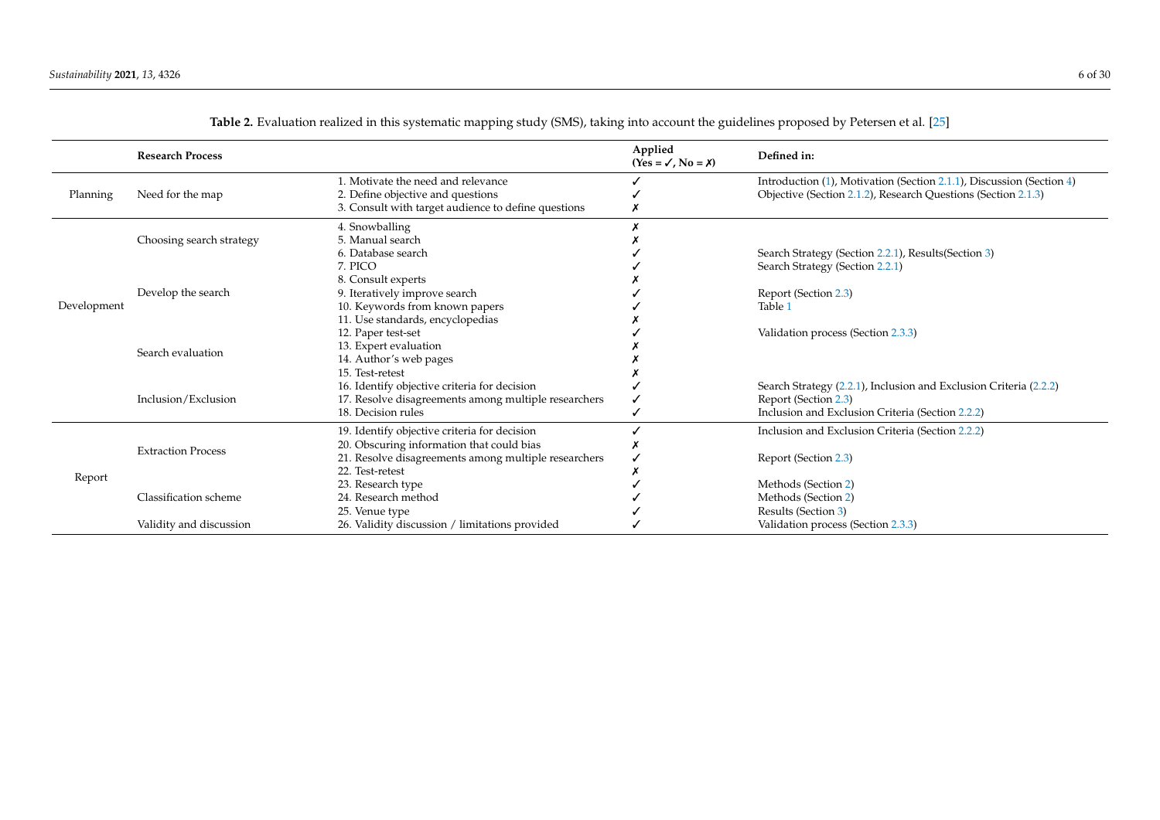<span id="page-5-0"></span>

|             | <b>Research Process</b>   |                                                      | Applied<br>$(Yes = \checkmark, No = \checkmark)$ | Defined in:                                                          |
|-------------|---------------------------|------------------------------------------------------|--------------------------------------------------|----------------------------------------------------------------------|
|             |                           | 1. Motivate the need and relevance                   |                                                  | Introduction (1), Motivation (Section 2.1.1), Discussion (Section 4) |
| Planning    | Need for the map          | 2. Define objective and questions                    |                                                  | Objective (Section 2.1.2), Research Questions (Section 2.1.3)        |
|             |                           | 3. Consult with target audience to define questions  |                                                  |                                                                      |
|             |                           | 4. Snowballing                                       |                                                  |                                                                      |
|             | Choosing search strategy  | 5. Manual search                                     |                                                  |                                                                      |
|             |                           | 6. Database search                                   |                                                  | Search Strategy (Section 2.2.1), Results (Section 3)                 |
|             |                           | 7. PICO                                              |                                                  | Search Strategy (Section 2.2.1)                                      |
|             |                           | 8. Consult experts                                   |                                                  |                                                                      |
|             | Develop the search        | 9. Iteratively improve search                        |                                                  | Report (Section 2.3)                                                 |
| Development |                           | 10. Keywords from known papers                       |                                                  | Table 1                                                              |
|             |                           | 11. Use standards, encyclopedias                     |                                                  |                                                                      |
|             |                           | 12. Paper test-set                                   |                                                  | Validation process (Section 2.3.3)                                   |
|             | Search evaluation         | 13. Expert evaluation                                |                                                  |                                                                      |
|             |                           | 14. Author's web pages                               |                                                  |                                                                      |
|             |                           | 15. Test-retest                                      |                                                  |                                                                      |
|             | Inclusion/Exclusion       | 16. Identify objective criteria for decision         |                                                  | Search Strategy (2.2.1), Inclusion and Exclusion Criteria (2.2.2)    |
|             |                           | 17. Resolve disagreements among multiple researchers |                                                  | Report (Section 2.3)                                                 |
|             |                           | 18. Decision rules                                   |                                                  | Inclusion and Exclusion Criteria (Section 2.2.2)                     |
|             |                           | 19. Identify objective criteria for decision         |                                                  | Inclusion and Exclusion Criteria (Section 2.2.2)                     |
|             | <b>Extraction Process</b> | 20. Obscuring information that could bias            |                                                  |                                                                      |
|             |                           | 21. Resolve disagreements among multiple researchers |                                                  | Report (Section 2.3)                                                 |
| Report      |                           | 22. Test-retest                                      |                                                  |                                                                      |
|             |                           | 23. Research type                                    |                                                  | Methods (Section 2)                                                  |
|             | Classification scheme     | 24. Research method                                  |                                                  | Methods (Section 2)                                                  |
|             |                           | 25. Venue type                                       |                                                  | Results (Section 3)                                                  |
|             | Validity and discussion   | 26. Validity discussion / limitations provided       |                                                  | Validation process (Section 2.3.3)                                   |

**Table 2.** Evaluation realized in this systematic mapping study (SMS), taking into account the guidelines proposed by Petersen et al. [\[25\]](#page-24-22)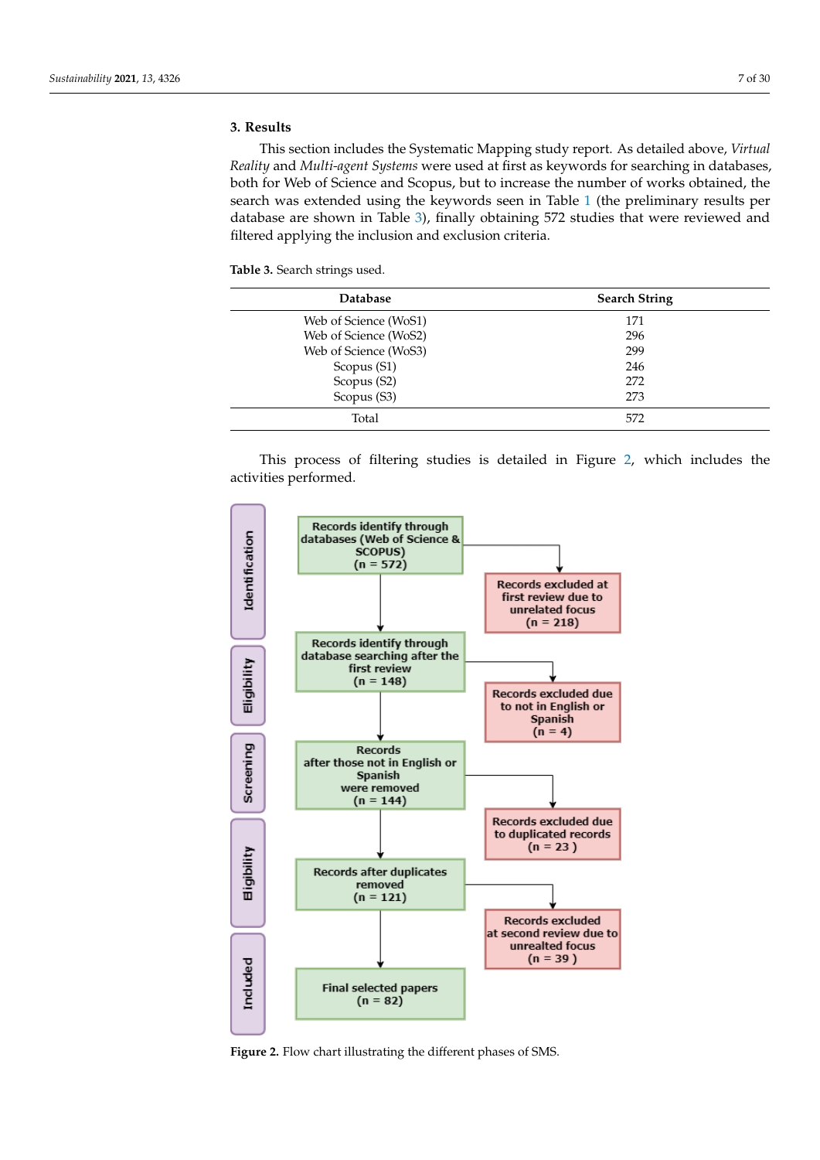### <span id="page-6-1"></span><span id="page-6-0"></span>**3. Results**

This section includes the Systematic Mapping study report. As detailed above, *Virtual Reality* and *Multi-agent Systems* were used at first as keywords for searching in databases, both for Web of Science and Scopus, but to increase the number of works obtained, the search was extended using the keywords seen in Table [1](#page-3-1) (the preliminary results per database are shown in Table [3\)](#page-6-2), finally obtaining 572 studies that were reviewed and filtered applying the inclusion and exclusion criteria.

<span id="page-6-2"></span>**Table 3.** Search strings used.

| <b>Database</b>       | <b>Search String</b> |
|-----------------------|----------------------|
| Web of Science (WoS1) | 171                  |
| Web of Science (WoS2) | 296                  |
| Web of Science (WoS3) | 299                  |
| Scopus (S1)           | 246                  |
| Scopus (S2)           | 272                  |
| Scopus (S3)           | 273                  |
| Total                 | 572                  |

This process of filtering studies is detailed in Figure [2,](#page-6-3) which includes the activities performed.

<span id="page-6-3"></span>

**Figure 2.** Flow chart illustrating the different phases of SMS.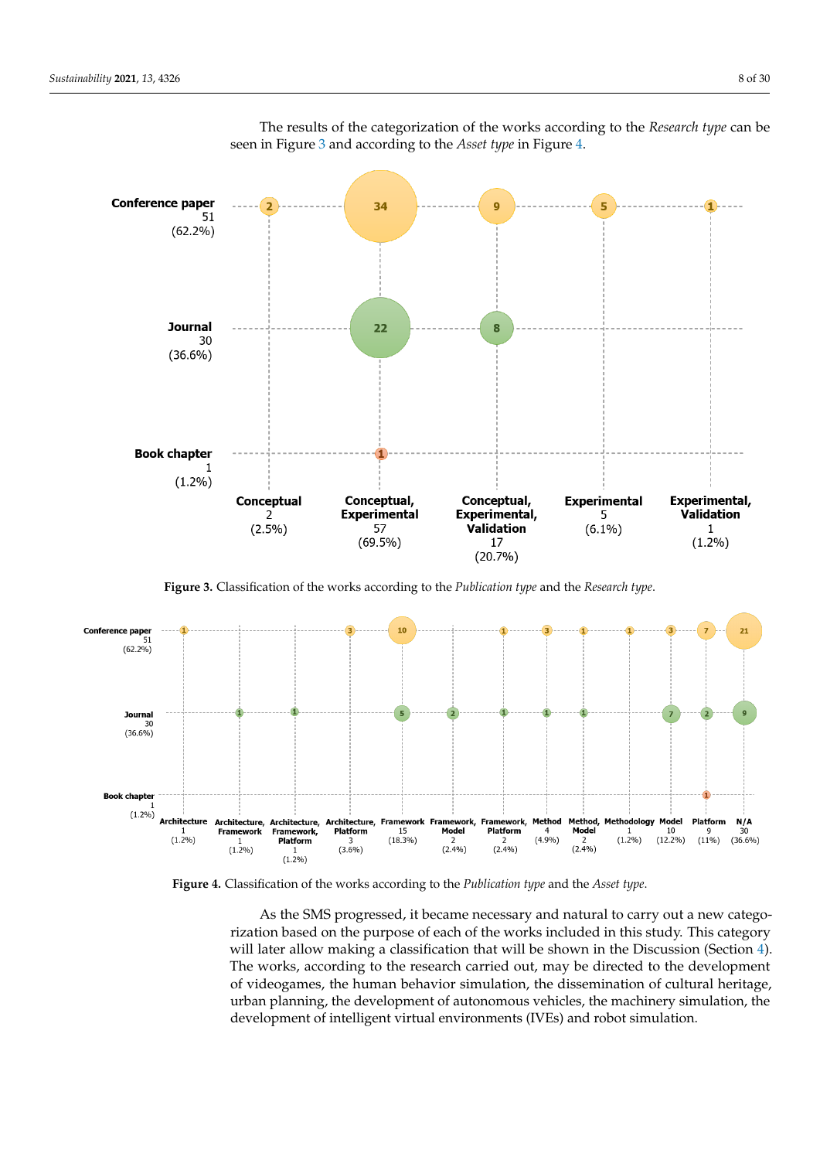<span id="page-7-0"></span>

The results of the categorization of the works according to the *Research type* can be seen in Figure [3](#page-7-0) and according to the *Asset type* in Figure [4.](#page-7-1)

**Figure 3.** Classification of the works according to the *Publication type* and the *Research type*.

<span id="page-7-1"></span>

**Figure 4.** Classification of the works according to the *Publication type* and the *Asset type*.

As the SMS progressed, it became necessary and natural to carry out a new categorization based on the purpose of each of the works included in this study. This category will later allow making a classification that will be shown in the Discussion (Section [4\)](#page-8-1). The works, according to the research carried out, may be directed to the development of videogames, the human behavior simulation, the dissemination of cultural heritage, urban planning, the development of autonomous vehicles, the machinery simulation, the development of intelligent virtual environments (IVEs) and robot simulation.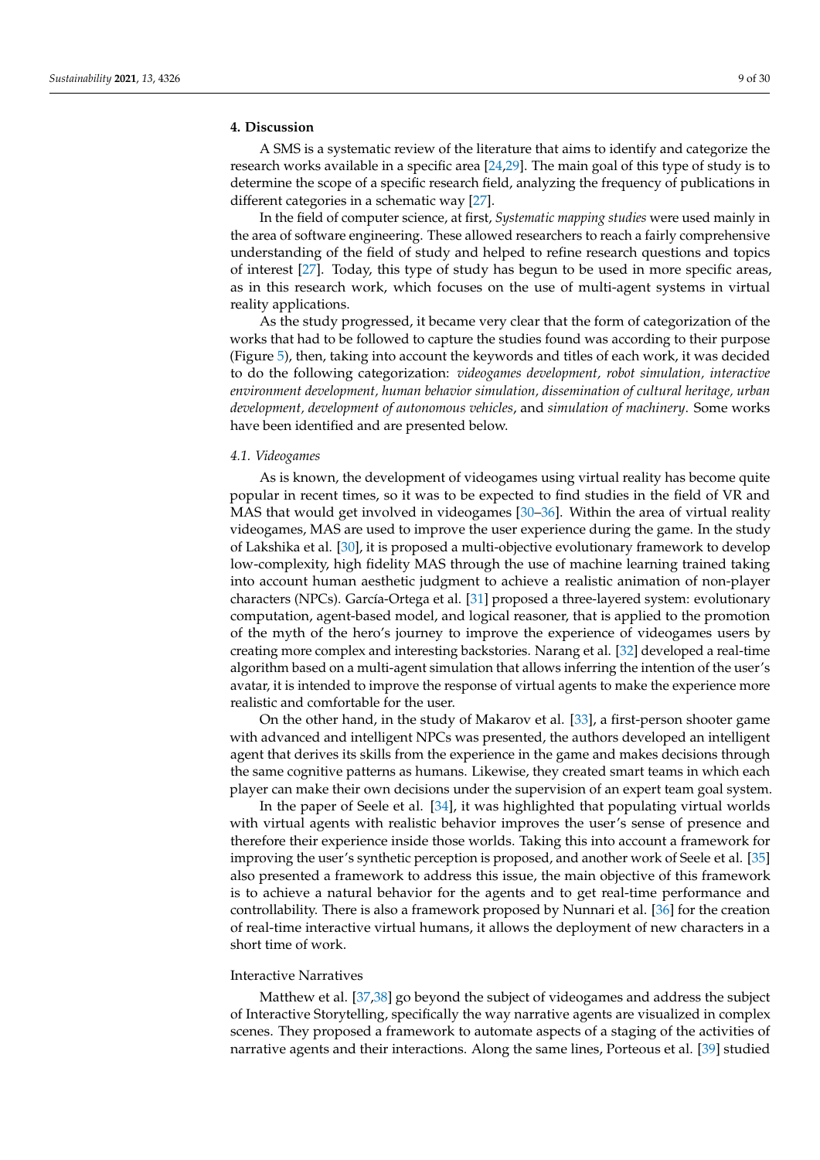### <span id="page-8-1"></span><span id="page-8-0"></span>**4. Discussion**

A SMS is a systematic review of the literature that aims to identify and categorize the research works available in a specific area  $[24,29]$  $[24,29]$ . The main goal of this type of study is to determine the scope of a specific research field, analyzing the frequency of publications in different categories in a schematic way [\[27\]](#page-25-0).

In the field of computer science, at first, *Systematic mapping studies* were used mainly in the area of software engineering. These allowed researchers to reach a fairly comprehensive understanding of the field of study and helped to refine research questions and topics of interest [\[27\]](#page-25-0). Today, this type of study has begun to be used in more specific areas, as in this research work, which focuses on the use of multi-agent systems in virtual reality applications.

As the study progressed, it became very clear that the form of categorization of the works that had to be followed to capture the studies found was according to their purpose (Figure [5\)](#page-14-0), then, taking into account the keywords and titles of each work, it was decided to do the following categorization: *videogames development, robot simulation, interactive environment development, human behavior simulation, dissemination of cultural heritage, urban development, development of autonomous vehicles*, and *simulation of machinery*. Some works have been identified and are presented below.

#### *4.1. Videogames*

As is known, the development of videogames using virtual reality has become quite popular in recent times, so it was to be expected to find studies in the field of VR and MAS that would get involved in videogames [\[30](#page-25-3)[–36\]](#page-25-4). Within the area of virtual reality videogames, MAS are used to improve the user experience during the game. In the study of Lakshika et al. [\[30\]](#page-25-3), it is proposed a multi-objective evolutionary framework to develop low-complexity, high fidelity MAS through the use of machine learning trained taking into account human aesthetic judgment to achieve a realistic animation of non-player characters (NPCs). García-Ortega et al. [\[31\]](#page-25-5) proposed a three-layered system: evolutionary computation, agent-based model, and logical reasoner, that is applied to the promotion of the myth of the hero's journey to improve the experience of videogames users by creating more complex and interesting backstories. Narang et al. [\[32\]](#page-25-6) developed a real-time algorithm based on a multi-agent simulation that allows inferring the intention of the user's avatar, it is intended to improve the response of virtual agents to make the experience more realistic and comfortable for the user.

On the other hand, in the study of Makarov et al. [\[33\]](#page-25-7), a first-person shooter game with advanced and intelligent NPCs was presented, the authors developed an intelligent agent that derives its skills from the experience in the game and makes decisions through the same cognitive patterns as humans. Likewise, they created smart teams in which each player can make their own decisions under the supervision of an expert team goal system.

In the paper of Seele et al. [\[34\]](#page-25-8), it was highlighted that populating virtual worlds with virtual agents with realistic behavior improves the user's sense of presence and therefore their experience inside those worlds. Taking this into account a framework for improving the user's synthetic perception is proposed, and another work of Seele et al. [\[35\]](#page-25-9) also presented a framework to address this issue, the main objective of this framework is to achieve a natural behavior for the agents and to get real-time performance and controllability. There is also a framework proposed by Nunnari et al. [\[36\]](#page-25-4) for the creation of real-time interactive virtual humans, it allows the deployment of new characters in a short time of work.

### Interactive Narratives

Matthew et al. [\[37,](#page-25-10)[38\]](#page-25-11) go beyond the subject of videogames and address the subject of Interactive Storytelling, specifically the way narrative agents are visualized in complex scenes. They proposed a framework to automate aspects of a staging of the activities of narrative agents and their interactions. Along the same lines, Porteous et al. [\[39\]](#page-25-12) studied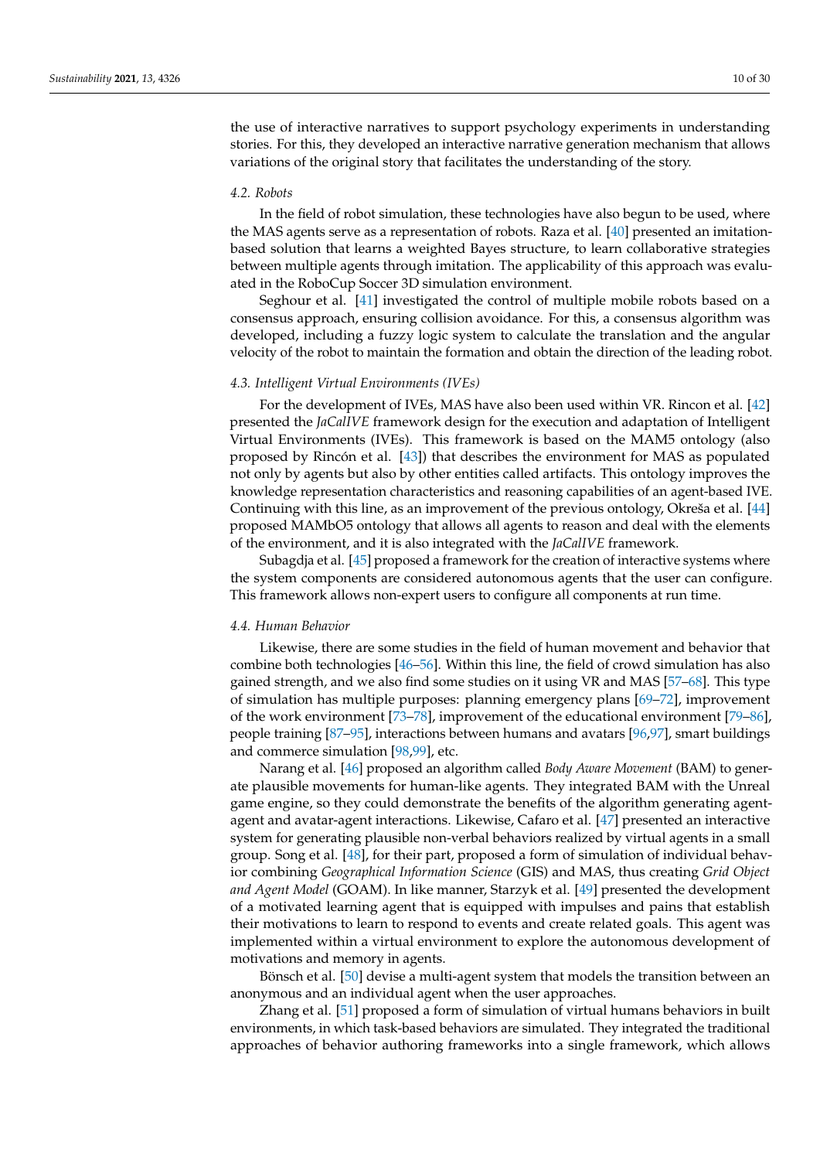the use of interactive narratives to support psychology experiments in understanding stories. For this, they developed an interactive narrative generation mechanism that allows variations of the original story that facilitates the understanding of the story.

#### *4.2. Robots*

In the field of robot simulation, these technologies have also begun to be used, where the MAS agents serve as a representation of robots. Raza et al. [\[40\]](#page-25-13) presented an imitationbased solution that learns a weighted Bayes structure, to learn collaborative strategies between multiple agents through imitation. The applicability of this approach was evaluated in the RoboCup Soccer 3D simulation environment.

Seghour et al. [\[41\]](#page-25-14) investigated the control of multiple mobile robots based on a consensus approach, ensuring collision avoidance. For this, a consensus algorithm was developed, including a fuzzy logic system to calculate the translation and the angular velocity of the robot to maintain the formation and obtain the direction of the leading robot.

### *4.3. Intelligent Virtual Environments (IVEs)*

For the development of IVEs, MAS have also been used within VR. Rincon et al. [\[42\]](#page-25-15) presented the *JaCalIVE* framework design for the execution and adaptation of Intelligent Virtual Environments (IVEs). This framework is based on the MAM5 ontology (also proposed by Rincón et al. [\[43\]](#page-25-16)) that describes the environment for MAS as populated not only by agents but also by other entities called artifacts. This ontology improves the knowledge representation characteristics and reasoning capabilities of an agent-based IVE. Continuing with this line, as an improvement of the previous ontology, Okreša et al. [\[44\]](#page-25-17) proposed MAMbO5 ontology that allows all agents to reason and deal with the elements of the environment, and it is also integrated with the *JaCalIVE* framework.

Subagdja et al. [\[45\]](#page-25-18) proposed a framework for the creation of interactive systems where the system components are considered autonomous agents that the user can configure. This framework allows non-expert users to configure all components at run time.

#### *4.4. Human Behavior*

Likewise, there are some studies in the field of human movement and behavior that combine both technologies [\[46–](#page-25-19)[56\]](#page-26-0). Within this line, the field of crowd simulation has also gained strength, and we also find some studies on it using VR and MAS [\[57](#page-26-1)[–68\]](#page-26-2). This type of simulation has multiple purposes: planning emergency plans [\[69](#page-26-3)[–72\]](#page-27-0), improvement of the work environment [\[73](#page-27-1)[–78\]](#page-27-2), improvement of the educational environment [\[79–](#page-27-3)[86\]](#page-27-4), people training [\[87](#page-27-5)[–95\]](#page-28-0), interactions between humans and avatars [\[96](#page-28-1)[,97\]](#page-28-2), smart buildings and commerce simulation [\[98](#page-28-3)[,99\]](#page-28-4), etc.

Narang et al. [\[46\]](#page-25-19) proposed an algorithm called *Body Aware Movement* (BAM) to generate plausible movements for human-like agents. They integrated BAM with the Unreal game engine, so they could demonstrate the benefits of the algorithm generating agentagent and avatar-agent interactions. Likewise, Cafaro et al. [\[47\]](#page-25-20) presented an interactive system for generating plausible non-verbal behaviors realized by virtual agents in a small group. Song et al. [\[48\]](#page-26-4), for their part, proposed a form of simulation of individual behavior combining *Geographical Information Science* (GIS) and MAS, thus creating *Grid Object and Agent Model* (GOAM). In like manner, Starzyk et al. [\[49\]](#page-26-5) presented the development of a motivated learning agent that is equipped with impulses and pains that establish their motivations to learn to respond to events and create related goals. This agent was implemented within a virtual environment to explore the autonomous development of motivations and memory in agents.

Bönsch et al. [\[50\]](#page-26-6) devise a multi-agent system that models the transition between an anonymous and an individual agent when the user approaches.

Zhang et al. [\[51\]](#page-26-7) proposed a form of simulation of virtual humans behaviors in built environments, in which task-based behaviors are simulated. They integrated the traditional approaches of behavior authoring frameworks into a single framework, which allows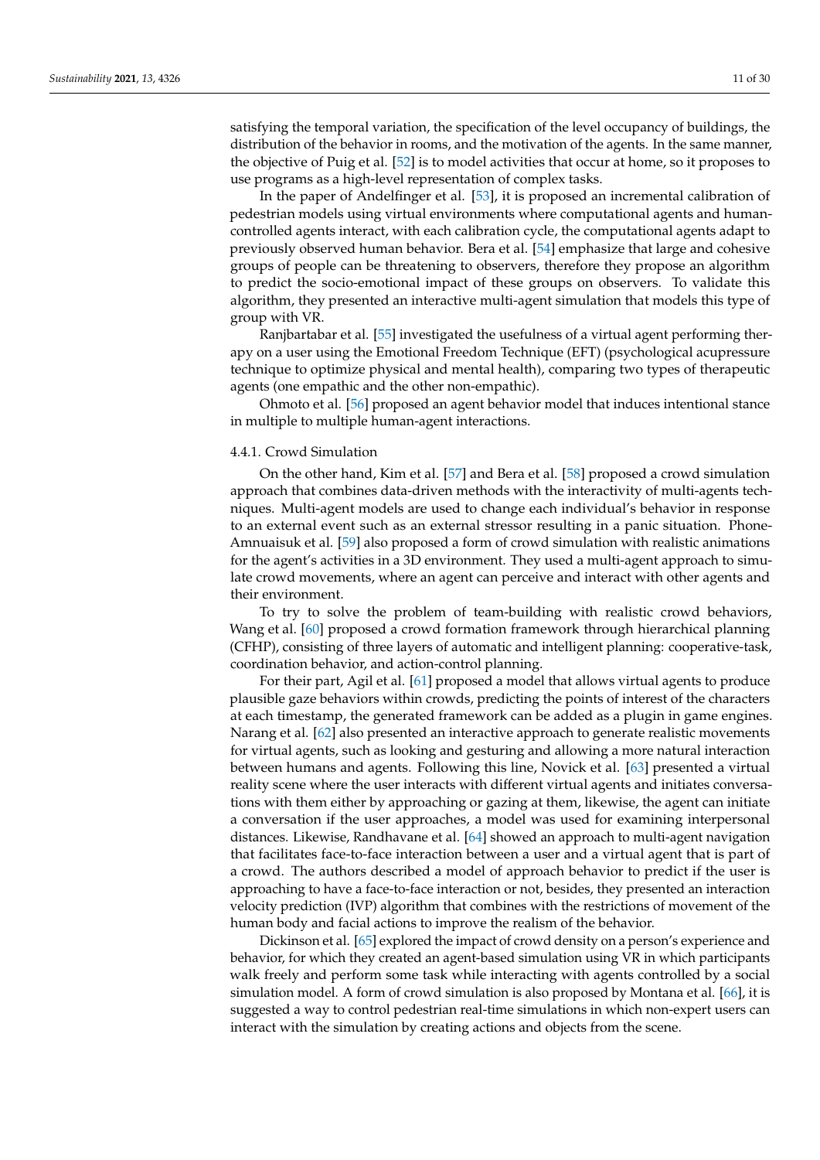satisfying the temporal variation, the specification of the level occupancy of buildings, the distribution of the behavior in rooms, and the motivation of the agents. In the same manner, the objective of Puig et al. [\[52\]](#page-26-8) is to model activities that occur at home, so it proposes to use programs as a high-level representation of complex tasks.

In the paper of Andelfinger et al. [\[53\]](#page-26-9), it is proposed an incremental calibration of pedestrian models using virtual environments where computational agents and humancontrolled agents interact, with each calibration cycle, the computational agents adapt to previously observed human behavior. Bera et al. [\[54\]](#page-26-10) emphasize that large and cohesive groups of people can be threatening to observers, therefore they propose an algorithm to predict the socio-emotional impact of these groups on observers. To validate this algorithm, they presented an interactive multi-agent simulation that models this type of group with VR.

Ranjbartabar et al. [\[55\]](#page-26-11) investigated the usefulness of a virtual agent performing therapy on a user using the Emotional Freedom Technique (EFT) (psychological acupressure technique to optimize physical and mental health), comparing two types of therapeutic agents (one empathic and the other non-empathic).

Ohmoto et al. [\[56\]](#page-26-0) proposed an agent behavior model that induces intentional stance in multiple to multiple human-agent interactions.

#### 4.4.1. Crowd Simulation

On the other hand, Kim et al. [\[57\]](#page-26-1) and Bera et al. [\[58\]](#page-26-12) proposed a crowd simulation approach that combines data-driven methods with the interactivity of multi-agents techniques. Multi-agent models are used to change each individual's behavior in response to an external event such as an external stressor resulting in a panic situation. Phone-Amnuaisuk et al. [\[59\]](#page-26-13) also proposed a form of crowd simulation with realistic animations for the agent's activities in a 3D environment. They used a multi-agent approach to simulate crowd movements, where an agent can perceive and interact with other agents and their environment.

To try to solve the problem of team-building with realistic crowd behaviors, Wang et al. [\[60\]](#page-26-14) proposed a crowd formation framework through hierarchical planning (CFHP), consisting of three layers of automatic and intelligent planning: cooperative-task, coordination behavior, and action-control planning.

For their part, Agil et al. [\[61\]](#page-26-15) proposed a model that allows virtual agents to produce plausible gaze behaviors within crowds, predicting the points of interest of the characters at each timestamp, the generated framework can be added as a plugin in game engines. Narang et al. [\[62\]](#page-26-16) also presented an interactive approach to generate realistic movements for virtual agents, such as looking and gesturing and allowing a more natural interaction between humans and agents. Following this line, Novick et al. [\[63\]](#page-26-17) presented a virtual reality scene where the user interacts with different virtual agents and initiates conversations with them either by approaching or gazing at them, likewise, the agent can initiate a conversation if the user approaches, a model was used for examining interpersonal distances. Likewise, Randhavane et al. [\[64\]](#page-26-18) showed an approach to multi-agent navigation that facilitates face-to-face interaction between a user and a virtual agent that is part of a crowd. The authors described a model of approach behavior to predict if the user is approaching to have a face-to-face interaction or not, besides, they presented an interaction velocity prediction (IVP) algorithm that combines with the restrictions of movement of the human body and facial actions to improve the realism of the behavior.

Dickinson et al. [\[65\]](#page-26-19) explored the impact of crowd density on a person's experience and behavior, for which they created an agent-based simulation using VR in which participants walk freely and perform some task while interacting with agents controlled by a social simulation model. A form of crowd simulation is also proposed by Montana et al. [\[66\]](#page-26-20), it is suggested a way to control pedestrian real-time simulations in which non-expert users can interact with the simulation by creating actions and objects from the scene.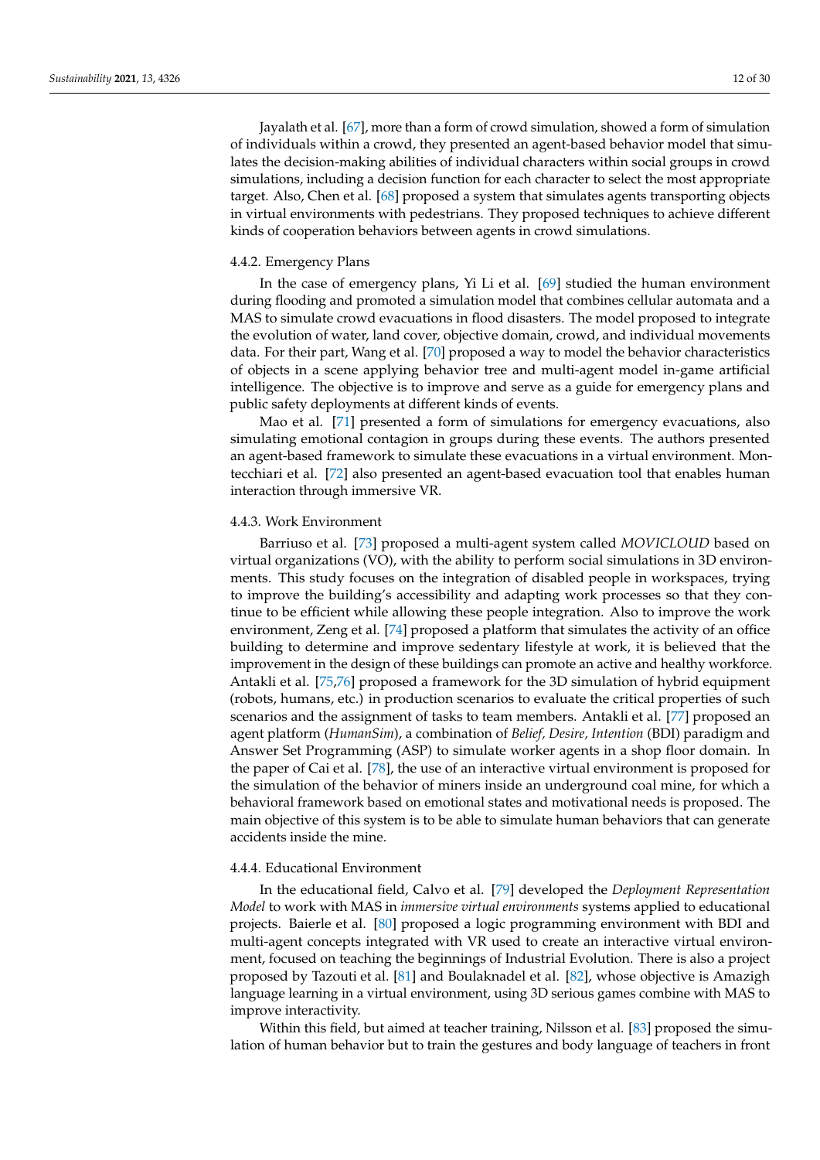Jayalath et al. [\[67\]](#page-26-21), more than a form of crowd simulation, showed a form of simulation of individuals within a crowd, they presented an agent-based behavior model that simulates the decision-making abilities of individual characters within social groups in crowd simulations, including a decision function for each character to select the most appropriate target. Also, Chen et al. [\[68\]](#page-26-2) proposed a system that simulates agents transporting objects in virtual environments with pedestrians. They proposed techniques to achieve different kinds of cooperation behaviors between agents in crowd simulations.

#### 4.4.2. Emergency Plans

In the case of emergency plans, Yi Li et al. [\[69\]](#page-26-3) studied the human environment during flooding and promoted a simulation model that combines cellular automata and a MAS to simulate crowd evacuations in flood disasters. The model proposed to integrate the evolution of water, land cover, objective domain, crowd, and individual movements data. For their part, Wang et al. [\[70\]](#page-27-6) proposed a way to model the behavior characteristics of objects in a scene applying behavior tree and multi-agent model in-game artificial intelligence. The objective is to improve and serve as a guide for emergency plans and public safety deployments at different kinds of events.

Mao et al. [\[71\]](#page-27-7) presented a form of simulations for emergency evacuations, also simulating emotional contagion in groups during these events. The authors presented an agent-based framework to simulate these evacuations in a virtual environment. Montecchiari et al. [\[72\]](#page-27-0) also presented an agent-based evacuation tool that enables human interaction through immersive VR.

#### 4.4.3. Work Environment

Barriuso et al. [\[73\]](#page-27-1) proposed a multi-agent system called *MOVICLOUD* based on virtual organizations (VO), with the ability to perform social simulations in 3D environments. This study focuses on the integration of disabled people in workspaces, trying to improve the building's accessibility and adapting work processes so that they continue to be efficient while allowing these people integration. Also to improve the work environment, Zeng et al. [\[74\]](#page-27-8) proposed a platform that simulates the activity of an office building to determine and improve sedentary lifestyle at work, it is believed that the improvement in the design of these buildings can promote an active and healthy workforce. Antakli et al. [\[75,](#page-27-9)[76\]](#page-27-10) proposed a framework for the 3D simulation of hybrid equipment (robots, humans, etc.) in production scenarios to evaluate the critical properties of such scenarios and the assignment of tasks to team members. Antakli et al. [\[77\]](#page-27-11) proposed an agent platform (*HumanSim*), a combination of *Belief, Desire, Intention* (BDI) paradigm and Answer Set Programming (ASP) to simulate worker agents in a shop floor domain. In the paper of Cai et al. [\[78\]](#page-27-2), the use of an interactive virtual environment is proposed for the simulation of the behavior of miners inside an underground coal mine, for which a behavioral framework based on emotional states and motivational needs is proposed. The main objective of this system is to be able to simulate human behaviors that can generate accidents inside the mine.

### 4.4.4. Educational Environment

In the educational field, Calvo et al. [\[79\]](#page-27-3) developed the *Deployment Representation Model* to work with MAS in *immersive virtual environments* systems applied to educational projects. Baierle et al. [\[80\]](#page-27-12) proposed a logic programming environment with BDI and multi-agent concepts integrated with VR used to create an interactive virtual environment, focused on teaching the beginnings of Industrial Evolution. There is also a project proposed by Tazouti et al. [\[81\]](#page-27-13) and Boulaknadel et al. [\[82\]](#page-27-14), whose objective is Amazigh language learning in a virtual environment, using 3D serious games combine with MAS to improve interactivity.

Within this field, but aimed at teacher training, Nilsson et al. [\[83\]](#page-27-15) proposed the simulation of human behavior but to train the gestures and body language of teachers in front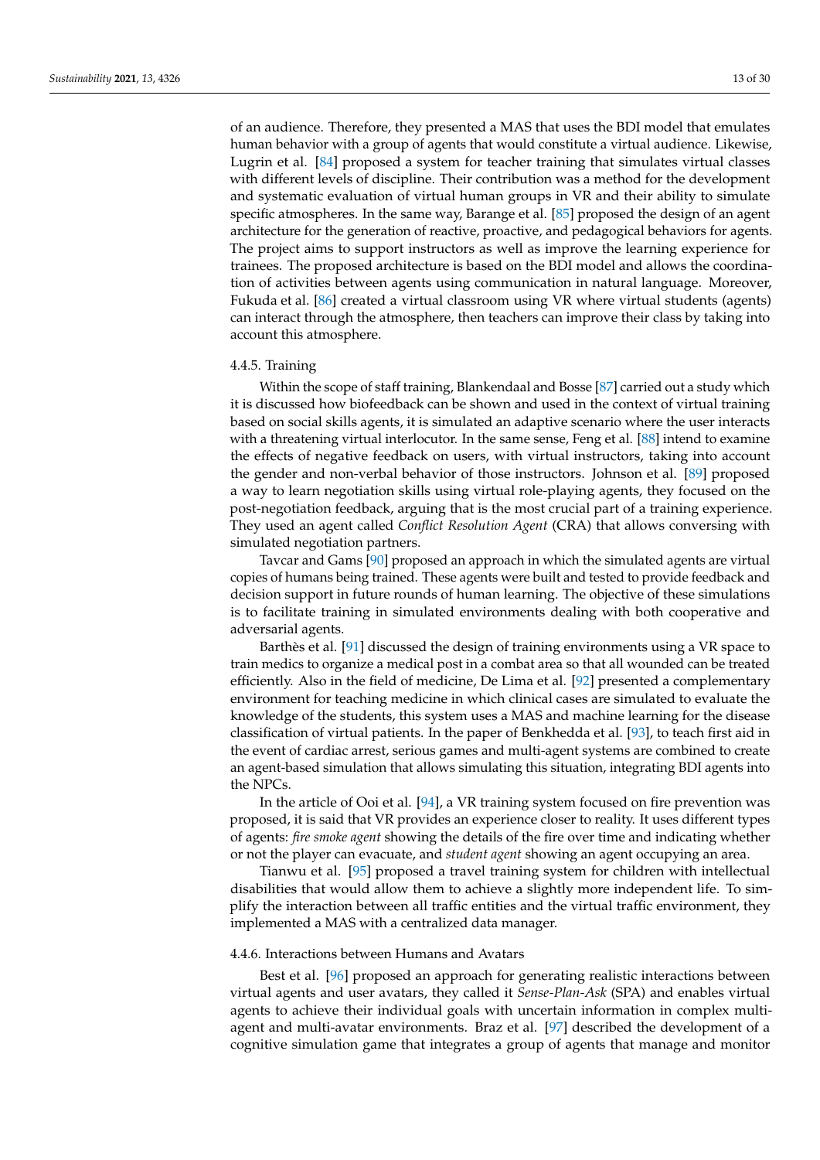of an audience. Therefore, they presented a MAS that uses the BDI model that emulates human behavior with a group of agents that would constitute a virtual audience. Likewise, Lugrin et al. [\[84\]](#page-27-16) proposed a system for teacher training that simulates virtual classes with different levels of discipline. Their contribution was a method for the development and systematic evaluation of virtual human groups in VR and their ability to simulate specific atmospheres. In the same way, Barange et al. [\[85\]](#page-27-17) proposed the design of an agent architecture for the generation of reactive, proactive, and pedagogical behaviors for agents. The project aims to support instructors as well as improve the learning experience for trainees. The proposed architecture is based on the BDI model and allows the coordination of activities between agents using communication in natural language. Moreover, Fukuda et al. [\[86\]](#page-27-4) created a virtual classroom using VR where virtual students (agents) can interact through the atmosphere, then teachers can improve their class by taking into account this atmosphere.

#### 4.4.5. Training

Within the scope of staff training, Blankendaal and Bosse [\[87\]](#page-27-5) carried out a study which it is discussed how biofeedback can be shown and used in the context of virtual training based on social skills agents, it is simulated an adaptive scenario where the user interacts with a threatening virtual interlocutor. In the same sense, Feng et al. [\[88\]](#page-28-5) intend to examine the effects of negative feedback on users, with virtual instructors, taking into account the gender and non-verbal behavior of those instructors. Johnson et al. [\[89\]](#page-28-6) proposed a way to learn negotiation skills using virtual role-playing agents, they focused on the post-negotiation feedback, arguing that is the most crucial part of a training experience. They used an agent called *Conflict Resolution Agent* (CRA) that allows conversing with simulated negotiation partners.

Tavcar and Gams [\[90\]](#page-28-7) proposed an approach in which the simulated agents are virtual copies of humans being trained. These agents were built and tested to provide feedback and decision support in future rounds of human learning. The objective of these simulations is to facilitate training in simulated environments dealing with both cooperative and adversarial agents.

Barthès et al. [\[91\]](#page-28-8) discussed the design of training environments using a VR space to train medics to organize a medical post in a combat area so that all wounded can be treated efficiently. Also in the field of medicine, De Lima et al. [\[92\]](#page-28-9) presented a complementary environment for teaching medicine in which clinical cases are simulated to evaluate the knowledge of the students, this system uses a MAS and machine learning for the disease classification of virtual patients. In the paper of Benkhedda et al. [\[93\]](#page-28-10), to teach first aid in the event of cardiac arrest, serious games and multi-agent systems are combined to create an agent-based simulation that allows simulating this situation, integrating BDI agents into the NPCs.

In the article of Ooi et al. [\[94\]](#page-28-11), a VR training system focused on fire prevention was proposed, it is said that VR provides an experience closer to reality. It uses different types of agents: *fire smoke agent* showing the details of the fire over time and indicating whether or not the player can evacuate, and *student agent* showing an agent occupying an area.

Tianwu et al. [\[95\]](#page-28-0) proposed a travel training system for children with intellectual disabilities that would allow them to achieve a slightly more independent life. To simplify the interaction between all traffic entities and the virtual traffic environment, they implemented a MAS with a centralized data manager.

### 4.4.6. Interactions between Humans and Avatars

Best et al. [\[96\]](#page-28-1) proposed an approach for generating realistic interactions between virtual agents and user avatars, they called it *Sense-Plan-Ask* (SPA) and enables virtual agents to achieve their individual goals with uncertain information in complex multiagent and multi-avatar environments. Braz et al. [\[97\]](#page-28-2) described the development of a cognitive simulation game that integrates a group of agents that manage and monitor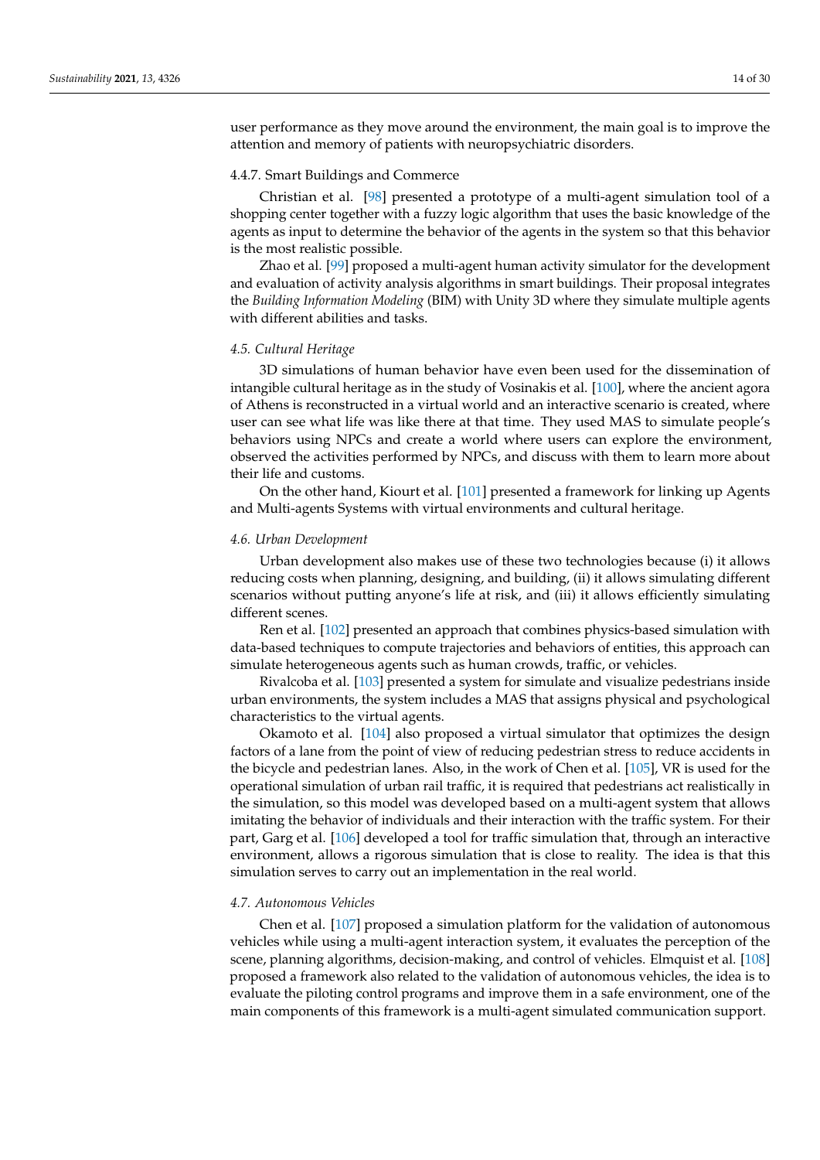user performance as they move around the environment, the main goal is to improve the attention and memory of patients with neuropsychiatric disorders.

### 4.4.7. Smart Buildings and Commerce

Christian et al. [\[98\]](#page-28-3) presented a prototype of a multi-agent simulation tool of a shopping center together with a fuzzy logic algorithm that uses the basic knowledge of the agents as input to determine the behavior of the agents in the system so that this behavior is the most realistic possible.

Zhao et al. [\[99\]](#page-28-4) proposed a multi-agent human activity simulator for the development and evaluation of activity analysis algorithms in smart buildings. Their proposal integrates the *Building Information Modeling* (BIM) with Unity 3D where they simulate multiple agents with different abilities and tasks.

### *4.5. Cultural Heritage*

3D simulations of human behavior have even been used for the dissemination of intangible cultural heritage as in the study of Vosinakis et al. [\[100\]](#page-28-12), where the ancient agora of Athens is reconstructed in a virtual world and an interactive scenario is created, where user can see what life was like there at that time. They used MAS to simulate people's behaviors using NPCs and create a world where users can explore the environment, observed the activities performed by NPCs, and discuss with them to learn more about their life and customs.

On the other hand, Kiourt et al. [\[101\]](#page-28-13) presented a framework for linking up Agents and Multi-agents Systems with virtual environments and cultural heritage.

#### *4.6. Urban Development*

Urban development also makes use of these two technologies because (i) it allows reducing costs when planning, designing, and building, (ii) it allows simulating different scenarios without putting anyone's life at risk, and (iii) it allows efficiently simulating different scenes.

Ren et al. [\[102\]](#page-28-14) presented an approach that combines physics-based simulation with data-based techniques to compute trajectories and behaviors of entities, this approach can simulate heterogeneous agents such as human crowds, traffic, or vehicles.

Rivalcoba et al. [\[103\]](#page-28-15) presented a system for simulate and visualize pedestrians inside urban environments, the system includes a MAS that assigns physical and psychological characteristics to the virtual agents.

Okamoto et al. [\[104\]](#page-28-16) also proposed a virtual simulator that optimizes the design factors of a lane from the point of view of reducing pedestrian stress to reduce accidents in the bicycle and pedestrian lanes. Also, in the work of Chen et al. [\[105\]](#page-28-17), VR is used for the operational simulation of urban rail traffic, it is required that pedestrians act realistically in the simulation, so this model was developed based on a multi-agent system that allows imitating the behavior of individuals and their interaction with the traffic system. For their part, Garg et al. [\[106\]](#page-28-18) developed a tool for traffic simulation that, through an interactive environment, allows a rigorous simulation that is close to reality. The idea is that this simulation serves to carry out an implementation in the real world.

#### *4.7. Autonomous Vehicles*

Chen et al. [\[107\]](#page-28-19) proposed a simulation platform for the validation of autonomous vehicles while using a multi-agent interaction system, it evaluates the perception of the scene, planning algorithms, decision-making, and control of vehicles. Elmquist et al. [\[108\]](#page-29-0) proposed a framework also related to the validation of autonomous vehicles, the idea is to evaluate the piloting control programs and improve them in a safe environment, one of the main components of this framework is a multi-agent simulated communication support.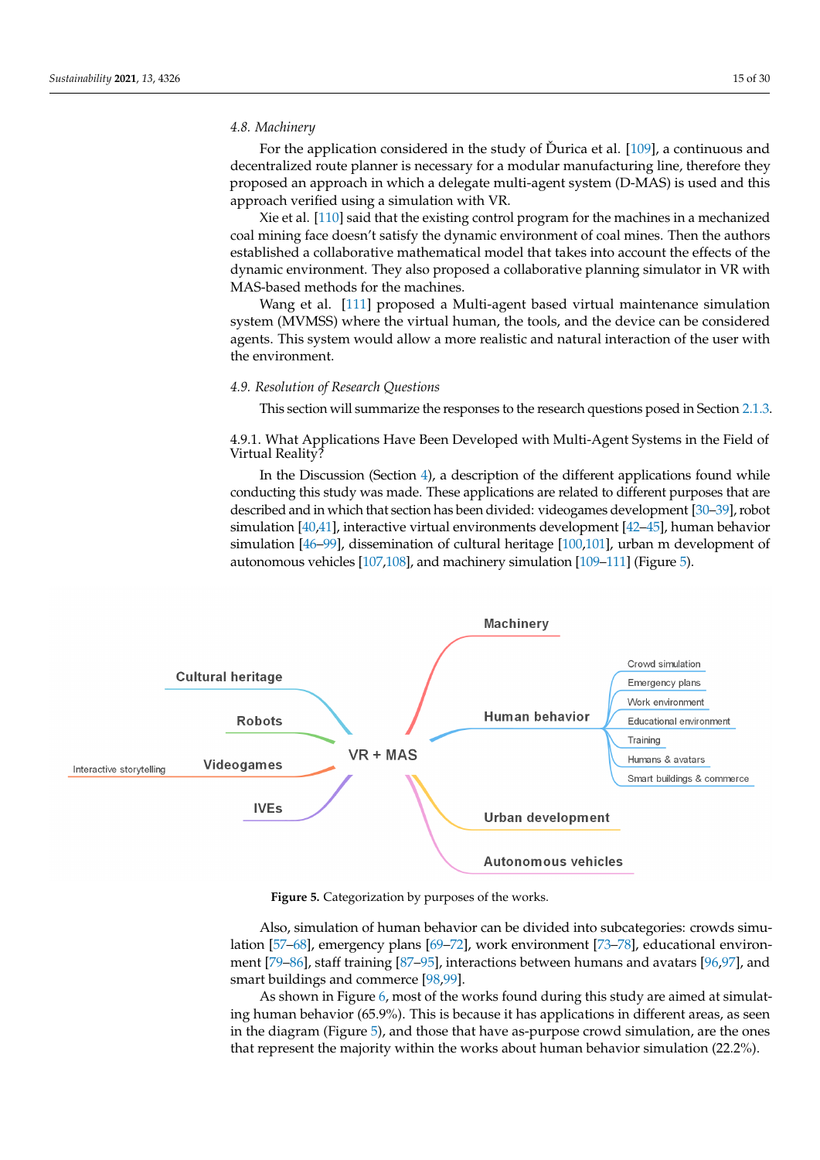### *4.8. Machinery*

For the application considered in the study of Durica et al.  $[109]$  $[109]$ , a continuous and decentralized route planner is necessary for a modular manufacturing line, therefore they proposed an approach in which a delegate multi-agent system (D-MAS) is used and this approach verified using a simulation with VR.

Xie et al. [\[110\]](#page-29-2) said that the existing control program for the machines in a mechanized coal mining face doesn't satisfy the dynamic environment of coal mines. Then the authors established a collaborative mathematical model that takes into account the effects of the dynamic environment. They also proposed a collaborative planning simulator in VR with MAS-based methods for the machines.

Wang et al. [\[111\]](#page-29-3) proposed a Multi-agent based virtual maintenance simulation system (MVMSS) where the virtual human, the tools, and the device can be considered agents. This system would allow a more realistic and natural interaction of the user with the environment.

### *4.9. Resolution of Research Questions*

This section will summarize the responses to the research questions posed in Section [2.1.3.](#page-2-4)

4.9.1. What Applications Have Been Developed with Multi-Agent Systems in the Field of Virtual Reality?

In the Discussion (Section [4\)](#page-8-1), a description of the different applications found while conducting this study was made. These applications are related to different purposes that are described and in which that section has been divided: videogames development [\[30](#page-25-3)[–39\]](#page-25-12), robot simulation [\[40,](#page-25-13)[41\]](#page-25-14), interactive virtual environments development [\[42–](#page-25-15)[45\]](#page-25-18), human behavior simulation [\[46–](#page-25-19)[99\]](#page-28-4), dissemination of cultural heritage [\[100](#page-28-12)[,101\]](#page-28-13), urban m development of autonomous vehicles [\[107](#page-28-19)[,108\]](#page-29-0), and machinery simulation [\[109–](#page-29-1)[111\]](#page-29-3) (Figure [5\)](#page-14-0).

<span id="page-14-0"></span>

**Figure 5.** Categorization by purposes of the works.

Also, simulation of human behavior can be divided into subcategories: crowds simulation [\[57](#page-26-1)[–68\]](#page-26-2), emergency plans [\[69–](#page-26-3)[72\]](#page-27-0), work environment [\[73–](#page-27-1)[78\]](#page-27-2), educational environment [\[79](#page-27-3)[–86\]](#page-27-4), staff training [\[87–](#page-27-5)[95\]](#page-28-0), interactions between humans and avatars [\[96](#page-28-1)[,97\]](#page-28-2), and smart buildings and commerce [\[98,](#page-28-3)[99\]](#page-28-4).

As shown in Figure [6,](#page-15-0) most of the works found during this study are aimed at simulating human behavior (65.9%). This is because it has applications in different areas, as seen in the diagram (Figure [5\)](#page-14-0), and those that have as-purpose crowd simulation, are the ones that represent the majority within the works about human behavior simulation (22.2%).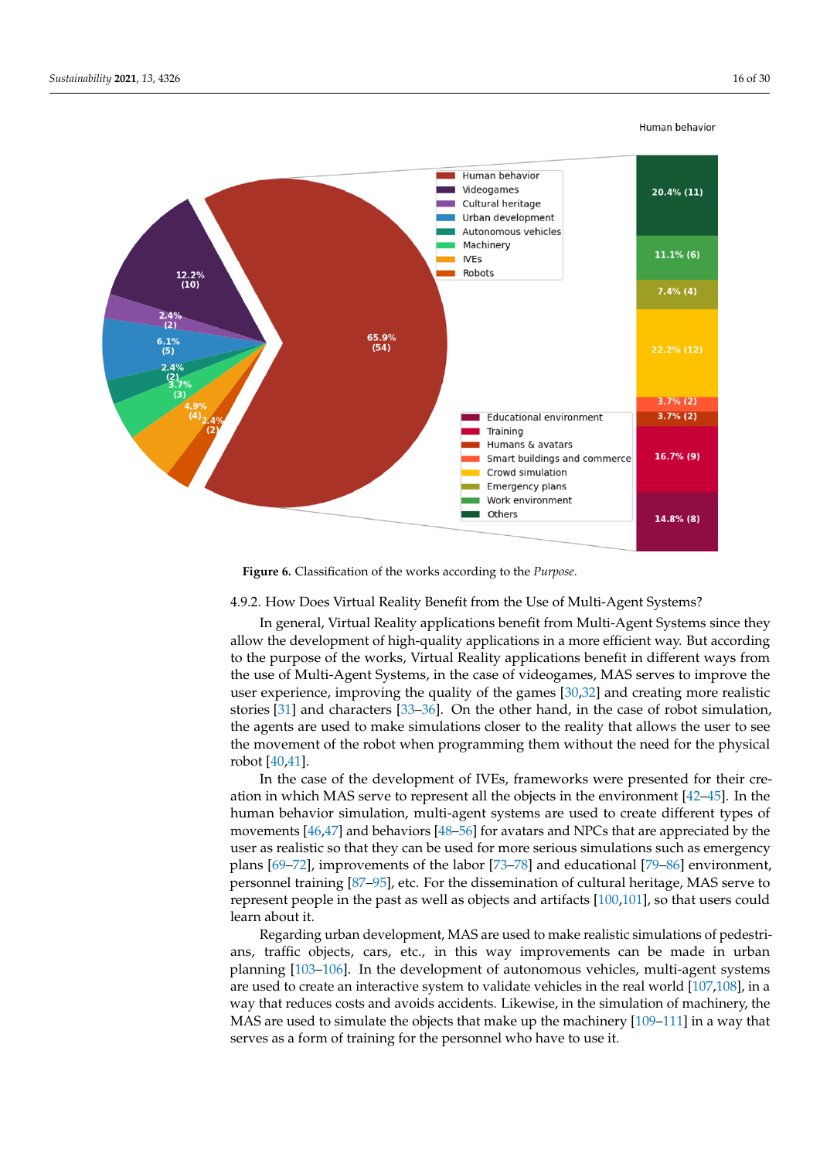<span id="page-15-0"></span>

#### Human behavior

**Figure 6.** Classification of the works according to the *Purpose*.

### 4.9.2. How Does Virtual Reality Benefit from the Use of Multi-Agent Systems?

In general, Virtual Reality applications benefit from Multi-Agent Systems since they allow the development of high-quality applications in a more efficient way. But according to the purpose of the works, Virtual Reality applications benefit in different ways from the use of Multi-Agent Systems, in the case of videogames, MAS serves to improve the user experience, improving the quality of the games [\[30,](#page-25-3)[32\]](#page-25-6) and creating more realistic stories [\[31\]](#page-25-5) and characters [\[33](#page-25-7)[–36\]](#page-25-4). On the other hand, in the case of robot simulation, the agents are used to make simulations closer to the reality that allows the user to see the movement of the robot when programming them without the need for the physical robot [\[40](#page-25-13)[,41\]](#page-25-14).

In the case of the development of IVEs, frameworks were presented for their creation in which MAS serve to represent all the objects in the environment [\[42–](#page-25-15)[45\]](#page-25-18). In the human behavior simulation, multi-agent systems are used to create different types of movements [\[46](#page-25-19)[,47\]](#page-25-20) and behaviors [\[48](#page-26-4)[–56\]](#page-26-0) for avatars and NPCs that are appreciated by the user as realistic so that they can be used for more serious simulations such as emergency plans [\[69–](#page-26-3)[72\]](#page-27-0), improvements of the labor [\[73](#page-27-1)[–78\]](#page-27-2) and educational [\[79–](#page-27-3)[86\]](#page-27-4) environment, personnel training [\[87–](#page-27-5)[95\]](#page-28-0), etc. For the dissemination of cultural heritage, MAS serve to represent people in the past as well as objects and artifacts [\[100](#page-28-12)[,101\]](#page-28-13), so that users could learn about it.

Regarding urban development, MAS are used to make realistic simulations of pedestrians, traffic objects, cars, etc., in this way improvements can be made in urban planning [\[103](#page-28-15)[–106\]](#page-28-18). In the development of autonomous vehicles, multi-agent systems are used to create an interactive system to validate vehicles in the real world [\[107,](#page-28-19)[108\]](#page-29-0), in a way that reduces costs and avoids accidents. Likewise, in the simulation of machinery, the MAS are used to simulate the objects that make up the machinery [\[109](#page-29-1)[–111\]](#page-29-3) in a way that serves as a form of training for the personnel who have to use it.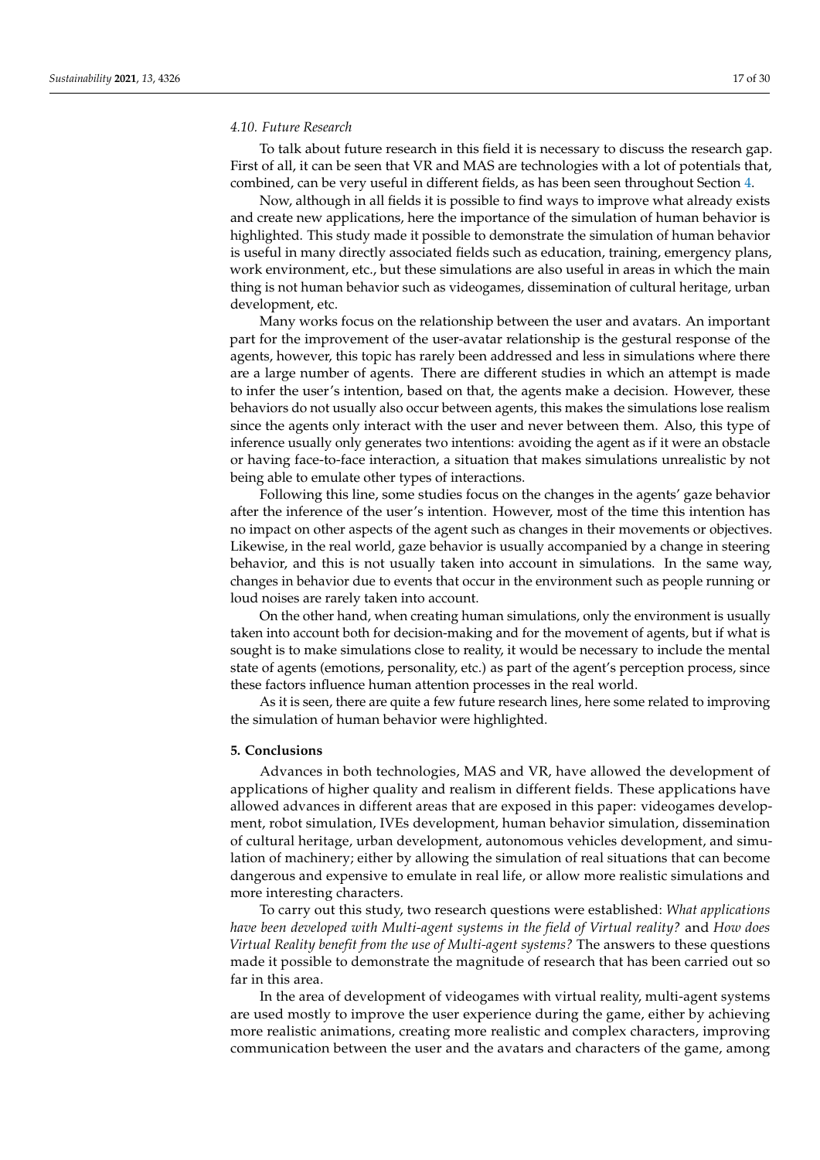### *4.10. Future Research*

To talk about future research in this field it is necessary to discuss the research gap. First of all, it can be seen that VR and MAS are technologies with a lot of potentials that, combined, can be very useful in different fields, as has been seen throughout Section [4.](#page-8-1)

Now, although in all fields it is possible to find ways to improve what already exists and create new applications, here the importance of the simulation of human behavior is highlighted. This study made it possible to demonstrate the simulation of human behavior is useful in many directly associated fields such as education, training, emergency plans, work environment, etc., but these simulations are also useful in areas in which the main thing is not human behavior such as videogames, dissemination of cultural heritage, urban development, etc.

Many works focus on the relationship between the user and avatars. An important part for the improvement of the user-avatar relationship is the gestural response of the agents, however, this topic has rarely been addressed and less in simulations where there are a large number of agents. There are different studies in which an attempt is made to infer the user's intention, based on that, the agents make a decision. However, these behaviors do not usually also occur between agents, this makes the simulations lose realism since the agents only interact with the user and never between them. Also, this type of inference usually only generates two intentions: avoiding the agent as if it were an obstacle or having face-to-face interaction, a situation that makes simulations unrealistic by not being able to emulate other types of interactions.

Following this line, some studies focus on the changes in the agents' gaze behavior after the inference of the user's intention. However, most of the time this intention has no impact on other aspects of the agent such as changes in their movements or objectives. Likewise, in the real world, gaze behavior is usually accompanied by a change in steering behavior, and this is not usually taken into account in simulations. In the same way, changes in behavior due to events that occur in the environment such as people running or loud noises are rarely taken into account.

On the other hand, when creating human simulations, only the environment is usually taken into account both for decision-making and for the movement of agents, but if what is sought is to make simulations close to reality, it would be necessary to include the mental state of agents (emotions, personality, etc.) as part of the agent's perception process, since these factors influence human attention processes in the real world.

As it is seen, there are quite a few future research lines, here some related to improving the simulation of human behavior were highlighted.

### **5. Conclusions**

Advances in both technologies, MAS and VR, have allowed the development of applications of higher quality and realism in different fields. These applications have allowed advances in different areas that are exposed in this paper: videogames development, robot simulation, IVEs development, human behavior simulation, dissemination of cultural heritage, urban development, autonomous vehicles development, and simulation of machinery; either by allowing the simulation of real situations that can become dangerous and expensive to emulate in real life, or allow more realistic simulations and more interesting characters.

To carry out this study, two research questions were established: *What applications have been developed with Multi-agent systems in the field of Virtual reality?* and *How does Virtual Reality benefit from the use of Multi-agent systems?* The answers to these questions made it possible to demonstrate the magnitude of research that has been carried out so far in this area.

In the area of development of videogames with virtual reality, multi-agent systems are used mostly to improve the user experience during the game, either by achieving more realistic animations, creating more realistic and complex characters, improving communication between the user and the avatars and characters of the game, among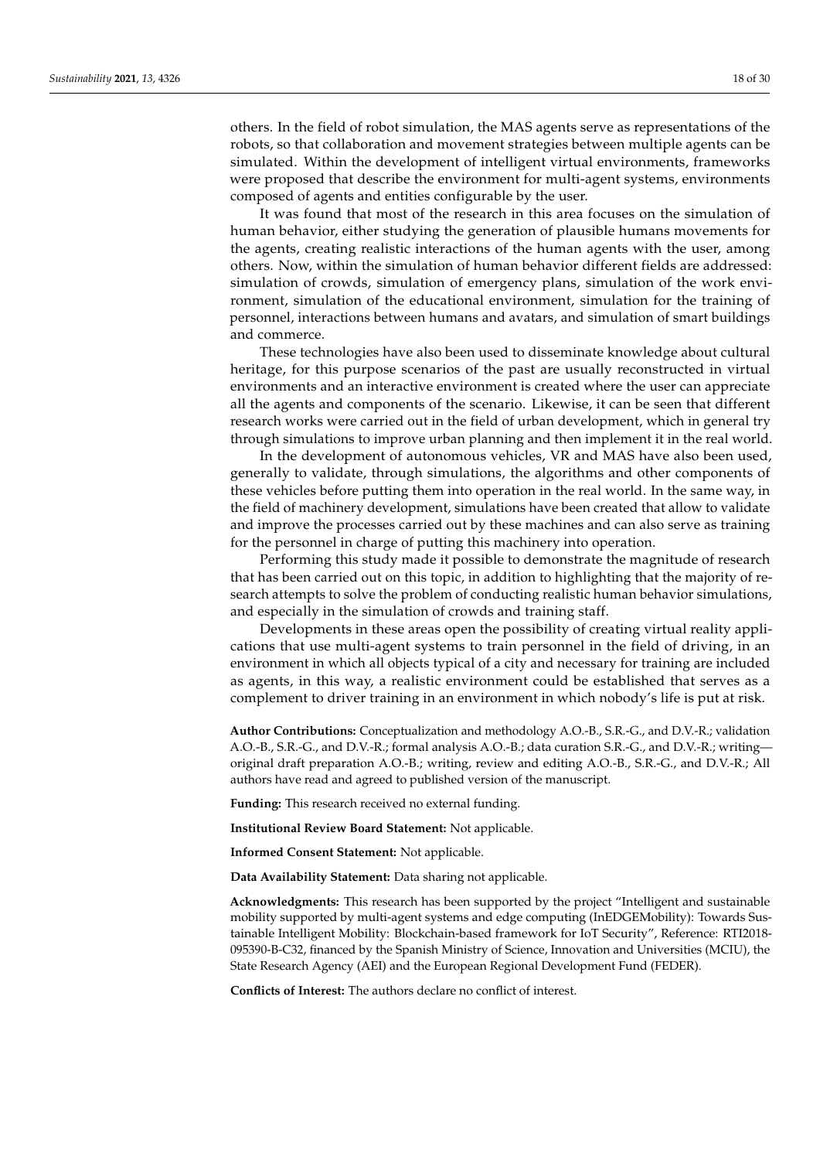others. In the field of robot simulation, the MAS agents serve as representations of the robots, so that collaboration and movement strategies between multiple agents can be simulated. Within the development of intelligent virtual environments, frameworks were proposed that describe the environment for multi-agent systems, environments composed of agents and entities configurable by the user.

It was found that most of the research in this area focuses on the simulation of human behavior, either studying the generation of plausible humans movements for the agents, creating realistic interactions of the human agents with the user, among others. Now, within the simulation of human behavior different fields are addressed: simulation of crowds, simulation of emergency plans, simulation of the work environment, simulation of the educational environment, simulation for the training of personnel, interactions between humans and avatars, and simulation of smart buildings and commerce.

These technologies have also been used to disseminate knowledge about cultural heritage, for this purpose scenarios of the past are usually reconstructed in virtual environments and an interactive environment is created where the user can appreciate all the agents and components of the scenario. Likewise, it can be seen that different research works were carried out in the field of urban development, which in general try through simulations to improve urban planning and then implement it in the real world.

In the development of autonomous vehicles, VR and MAS have also been used, generally to validate, through simulations, the algorithms and other components of these vehicles before putting them into operation in the real world. In the same way, in the field of machinery development, simulations have been created that allow to validate and improve the processes carried out by these machines and can also serve as training for the personnel in charge of putting this machinery into operation.

Performing this study made it possible to demonstrate the magnitude of research that has been carried out on this topic, in addition to highlighting that the majority of research attempts to solve the problem of conducting realistic human behavior simulations, and especially in the simulation of crowds and training staff.

Developments in these areas open the possibility of creating virtual reality applications that use multi-agent systems to train personnel in the field of driving, in an environment in which all objects typical of a city and necessary for training are included as agents, in this way, a realistic environment could be established that serves as a complement to driver training in an environment in which nobody's life is put at risk.

**Author Contributions:** Conceptualization and methodology A.O.-B., S.R.-G., and D.V.-R.; validation A.O.-B., S.R.-G., and D.V.-R.; formal analysis A.O.-B.; data curation S.R.-G., and D.V.-R.; writing original draft preparation A.O.-B.; writing, review and editing A.O.-B., S.R.-G., and D.V.-R.; All authors have read and agreed to published version of the manuscript.

**Funding:** This research received no external funding.

**Institutional Review Board Statement:** Not applicable.

**Informed Consent Statement:** Not applicable.

**Data Availability Statement:** Data sharing not applicable.

**Acknowledgments:** This research has been supported by the project "Intelligent and sustainable mobility supported by multi-agent systems and edge computing (InEDGEMobility): Towards Sustainable Intelligent Mobility: Blockchain-based framework for IoT Security", Reference: RTI2018- 095390-B-C32, financed by the Spanish Ministry of Science, Innovation and Universities (MCIU), the State Research Agency (AEI) and the European Regional Development Fund (FEDER).

**Conflicts of Interest:** The authors declare no conflict of interest.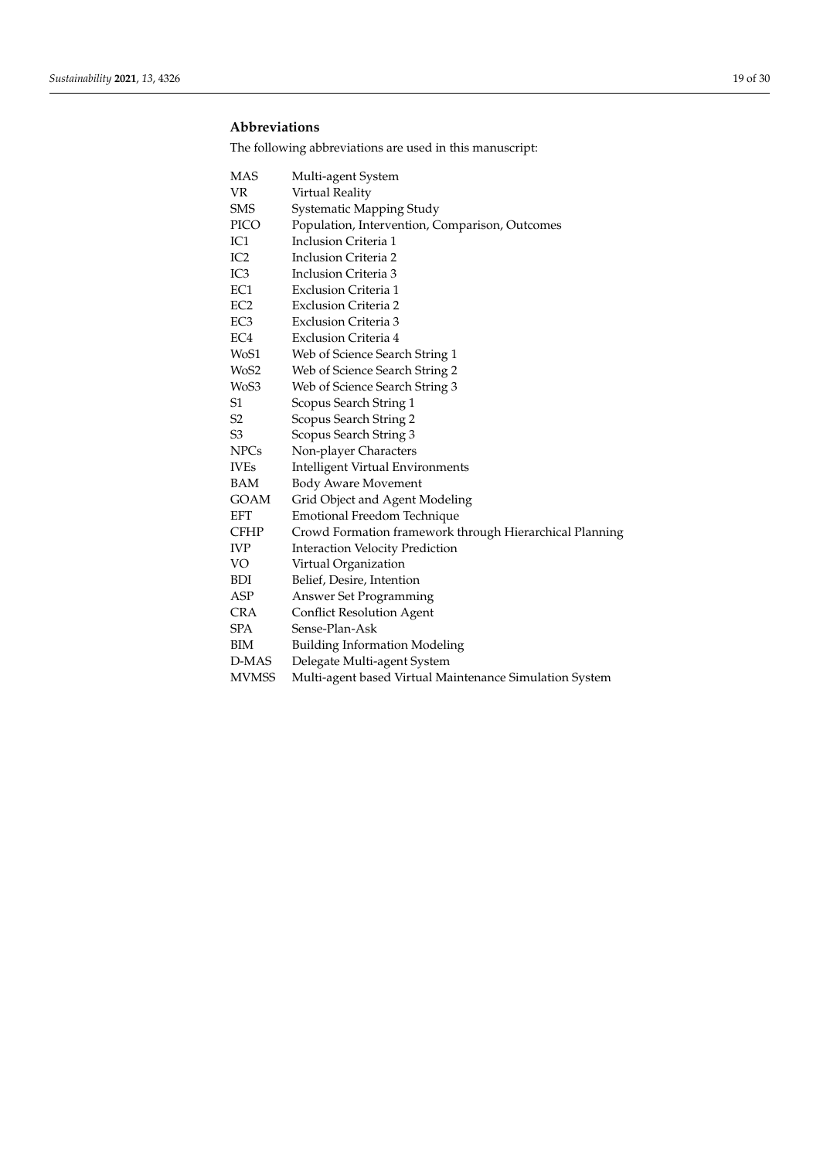## **Abbreviations**

The following abbreviations are used in this manuscript:

| <b>MAS</b>        | Multi-agent System                                      |
|-------------------|---------------------------------------------------------|
| <b>VR</b>         | Virtual Reality                                         |
| <b>SMS</b>        | Systematic Mapping Study                                |
| PICO              | Population, Intervention, Comparison, Outcomes          |
| IC1               | Inclusion Criteria 1                                    |
| IC <sub>2</sub>   | Inclusion Criteria 2                                    |
| IC <sub>3</sub>   | Inclusion Criteria 3                                    |
| EC1               | Exclusion Criteria 1                                    |
| EC <sub>2</sub>   | <b>Exclusion Criteria 2</b>                             |
| EC <sub>3</sub>   | <b>Exclusion Criteria 3</b>                             |
| EC <sub>4</sub>   | Exclusion Criteria 4                                    |
| WoS1              | Web of Science Search String 1                          |
| WoS2              | Web of Science Search String 2                          |
| W <sub>o</sub> S3 | Web of Science Search String 3                          |
| S1                | Scopus Search String 1                                  |
| S2                | Scopus Search String 2                                  |
| S <sub>3</sub>    | Scopus Search String 3                                  |
| <b>NPCs</b>       | Non-player Characters                                   |
| <b>IVEs</b>       | <b>Intelligent Virtual Environments</b>                 |
| BAM               | <b>Body Aware Movement</b>                              |
| <b>GOAM</b>       | Grid Object and Agent Modeling                          |
| <b>EFT</b>        | Emotional Freedom Technique                             |
| <b>CFHP</b>       | Crowd Formation framework through Hierarchical Planning |
| <b>IVP</b>        | <b>Interaction Velocity Prediction</b>                  |
| VO                | Virtual Organization                                    |
| <b>BDI</b>        | Belief, Desire, Intention                               |
| ASP               | Answer Set Programming                                  |
| <b>CRA</b>        | <b>Conflict Resolution Agent</b>                        |
| <b>SPA</b>        | Sense-Plan-Ask                                          |
| BIM               | <b>Building Information Modeling</b>                    |
| D-MAS             | Delegate Multi-agent System                             |
| <b>MVMSS</b>      | Multi-agent based Virtual Maintenance Simulation System |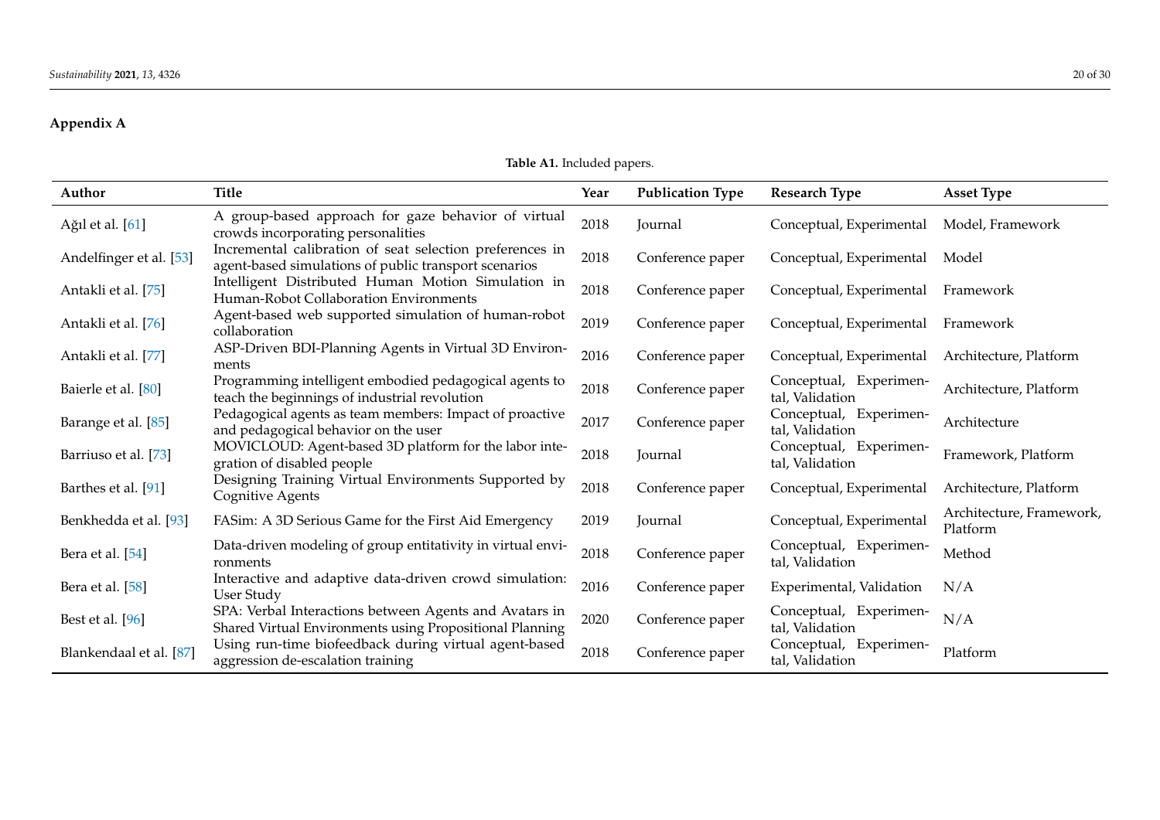# **Appendix A**

**Table A1.** Included papers.

<span id="page-19-0"></span>

| Author                  | <b>Title</b>                                                                                                       | Year | <b>Publication Type</b> | <b>Research Type</b>                      | <b>Asset Type</b>                    |
|-------------------------|--------------------------------------------------------------------------------------------------------------------|------|-------------------------|-------------------------------------------|--------------------------------------|
| Ağıl et al. [61]        | A group-based approach for gaze behavior of virtual<br>crowds incorporating personalities                          | 2018 | Journal                 | Conceptual, Experimental                  | Model, Framework                     |
| Andelfinger et al. [53] | Incremental calibration of seat selection preferences in<br>agent-based simulations of public transport scenarios  | 2018 | Conference paper        | Conceptual, Experimental                  | Model                                |
| Antakli et al. [75]     | Intelligent Distributed Human Motion Simulation in<br>Human-Robot Collaboration Environments                       | 2018 | Conference paper        | Conceptual, Experimental                  | Framework                            |
| Antakli et al. [76]     | Agent-based web supported simulation of human-robot<br>collaboration                                               | 2019 | Conference paper        | Conceptual, Experimental                  | Framework                            |
| Antakli et al. [77]     | ASP-Driven BDI-Planning Agents in Virtual 3D Environ-<br>ments                                                     | 2016 | Conference paper        | Conceptual, Experimental                  | Architecture, Platform               |
| Baierle et al. [80]     | Programming intelligent embodied pedagogical agents to<br>teach the beginnings of industrial revolution            | 2018 | Conference paper        | Conceptual, Experimen-<br>tal, Validation | Architecture, Platform               |
| Barange et al. [85]     | Pedagogical agents as team members: Impact of proactive<br>and pedagogical behavior on the user                    | 2017 | Conference paper        | Conceptual, Experimen-<br>tal, Validation | Architecture                         |
| Barriuso et al. [73]    | MOVICLOUD: Agent-based 3D platform for the labor inte-<br>gration of disabled people                               | 2018 | Journal                 | Conceptual, Experimen-<br>tal, Validation | Framework, Platform                  |
| Barthes et al. [91]     | Designing Training Virtual Environments Supported by<br>Cognitive Agents                                           | 2018 | Conference paper        | Conceptual, Experimental                  | Architecture, Platform               |
| Benkhedda et al. [93]   | FASim: A 3D Serious Game for the First Aid Emergency                                                               | 2019 | Journal                 | Conceptual, Experimental                  | Architecture, Framework,<br>Platform |
| Bera et al. [54]        | Data-driven modeling of group entitativity in virtual envi-<br>ronments                                            | 2018 | Conference paper        | Conceptual, Experimen-<br>tal, Validation | Method                               |
| Bera et al. [58]        | Interactive and adaptive data-driven crowd simulation:<br>User Study                                               | 2016 | Conference paper        | Experimental, Validation                  | N/A                                  |
| Best et al. [96]        | SPA: Verbal Interactions between Agents and Avatars in<br>Shared Virtual Environments using Propositional Planning | 2020 | Conference paper        | Conceptual, Experimen-<br>tal, Validation | N/A                                  |
| Blankendaal et al. [87] | Using run-time biofeedback during virtual agent-based<br>aggression de-escalation training                         | 2018 | Conference paper        | Conceptual, Experimen-<br>tal, Validation | Platform                             |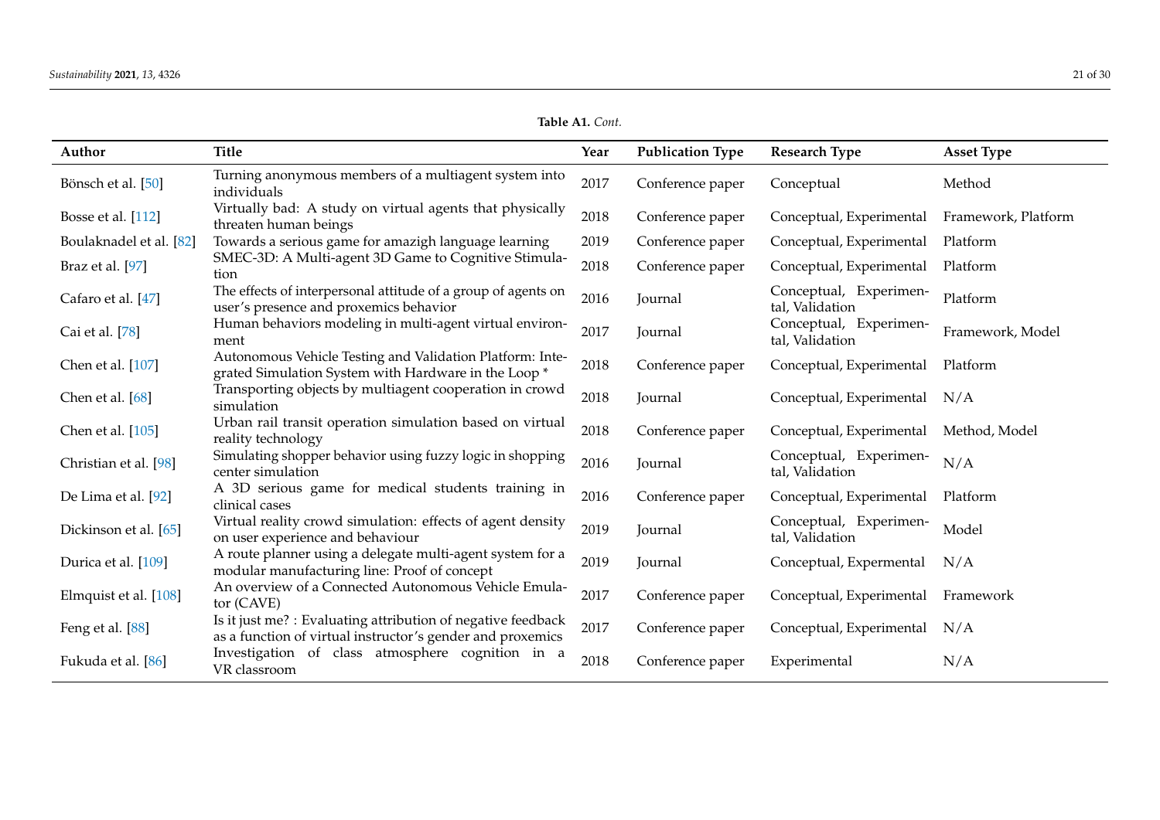**Table A1.** *Cont.*

| Author                  | <b>Title</b>                                                                                                               | Year | <b>Publication Type</b> | <b>Research Type</b>                      | <b>Asset Type</b>   |
|-------------------------|----------------------------------------------------------------------------------------------------------------------------|------|-------------------------|-------------------------------------------|---------------------|
| Bönsch et al. [50]      | Turning anonymous members of a multiagent system into<br>individuals                                                       | 2017 | Conference paper        | Conceptual                                | Method              |
| Bosse et al. [112]      | Virtually bad: A study on virtual agents that physically<br>threaten human beings                                          | 2018 | Conference paper        | Conceptual, Experimental                  | Framework, Platform |
| Boulaknadel et al. [82] | Towards a serious game for amazigh language learning                                                                       | 2019 | Conference paper        | Conceptual, Experimental                  | Platform            |
| Braz et al. [97]        | SMEC-3D: A Multi-agent 3D Game to Cognitive Stimula-<br>tion                                                               | 2018 | Conference paper        | Conceptual, Experimental                  | Platform            |
| Cafaro et al. [47]      | The effects of interpersonal attitude of a group of agents on<br>user's presence and proxemics behavior                    | 2016 | Journal                 | Conceptual, Experimen-<br>tal, Validation | Platform            |
| Cai et al. [78]         | Human behaviors modeling in multi-agent virtual environ-<br>ment                                                           | 2017 | Journal                 | Conceptual, Experimen-<br>tal, Validation | Framework, Model    |
| Chen et al. [107]       | Autonomous Vehicle Testing and Validation Platform: Inte-<br>grated Simulation System with Hardware in the Loop *          | 2018 | Conference paper        | Conceptual, Experimental                  | Platform            |
| Chen et al. [68]        | Transporting objects by multiagent cooperation in crowd<br>simulation                                                      | 2018 | Journal                 | Conceptual, Experimental                  | N/A                 |
| Chen et al. [105]       | Urban rail transit operation simulation based on virtual<br>reality technology                                             | 2018 | Conference paper        | Conceptual, Experimental                  | Method, Model       |
| Christian et al. [98]   | Simulating shopper behavior using fuzzy logic in shopping<br>center simulation                                             | 2016 | Journal                 | Conceptual, Experimen-<br>tal, Validation | N/A                 |
| De Lima et al. [92]     | A 3D serious game for medical students training in<br>clinical cases                                                       | 2016 | Conference paper        | Conceptual, Experimental                  | Platform            |
| Dickinson et al. [65]   | Virtual reality crowd simulation: effects of agent density<br>on user experience and behaviour                             | 2019 | Journal                 | Conceptual, Experimen-<br>tal, Validation | Model               |
| Durica et al. [109]     | A route planner using a delegate multi-agent system for a<br>modular manufacturing line: Proof of concept                  | 2019 | Journal                 | Conceptual, Expermental                   | N/A                 |
| Elmquist et al. [108]   | An overview of a Connected Autonomous Vehicle Emula-<br>tor (CAVE)                                                         | 2017 | Conference paper        | Conceptual, Experimental                  | Framework           |
| Feng et al. [88]        | Is it just me? : Evaluating attribution of negative feedback<br>as a function of virtual instructor's gender and proxemics | 2017 | Conference paper        | Conceptual, Experimental                  | N/A                 |
| Fukuda et al. [86]      | Investigation of class atmosphere cognition in a<br>VR classroom                                                           | 2018 | Conference paper        | Experimental                              | N/A                 |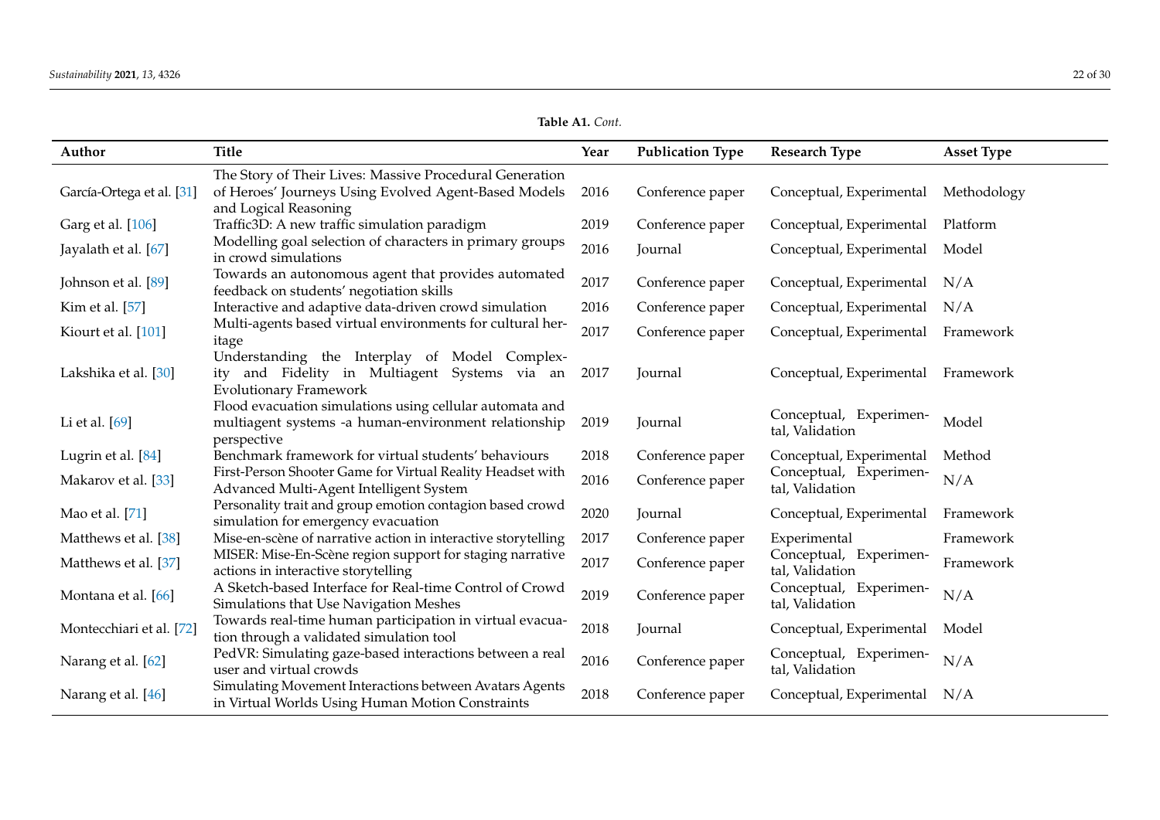**Table A1.** *Cont.*

| Author                    | <b>Title</b>                                                                                                                             | Year | <b>Publication Type</b> | <b>Research Type</b>                      | <b>Asset Type</b> |
|---------------------------|------------------------------------------------------------------------------------------------------------------------------------------|------|-------------------------|-------------------------------------------|-------------------|
| García-Ortega et al. [31] | The Story of Their Lives: Massive Procedural Generation<br>of Heroes' Journeys Using Evolved Agent-Based Models<br>and Logical Reasoning | 2016 | Conference paper        | Conceptual, Experimental                  | Methodology       |
| Garg et al. [106]         | Traffic3D: A new traffic simulation paradigm                                                                                             | 2019 | Conference paper        | Conceptual, Experimental                  | Platform          |
| Jayalath et al. [67]      | Modelling goal selection of characters in primary groups<br>in crowd simulations                                                         | 2016 | Journal                 | Conceptual, Experimental                  | Model             |
| Johnson et al. [89]       | Towards an autonomous agent that provides automated<br>feedback on students' negotiation skills                                          | 2017 | Conference paper        | Conceptual, Experimental                  | N/A               |
| Kim et al. [57]           | Interactive and adaptive data-driven crowd simulation                                                                                    | 2016 | Conference paper        | Conceptual, Experimental                  | N/A               |
| Kiourt et al. [101]       | Multi-agents based virtual environments for cultural her-<br>itage                                                                       | 2017 | Conference paper        | Conceptual, Experimental                  | Framework         |
| Lakshika et al. [30]      | Understanding the Interplay of Model Complex-<br>ity and Fidelity in Multiagent Systems via an<br><b>Evolutionary Framework</b>          | 2017 | Journal                 | Conceptual, Experimental                  | Framework         |
| Li et al. [69]            | Flood evacuation simulations using cellular automata and<br>multiagent systems -a human-environment relationship<br>perspective          | 2019 | Journal                 | Conceptual, Experimen-<br>tal, Validation | Model             |
| Lugrin et al. [84]        | Benchmark framework for virtual students' behaviours                                                                                     | 2018 | Conference paper        | Conceptual, Experimental                  | Method            |
| Makarov et al. [33]       | First-Person Shooter Game for Virtual Reality Headset with<br>Advanced Multi-Agent Intelligent System                                    | 2016 | Conference paper        | Conceptual, Experimen-<br>tal, Validation | N/A               |
| Mao et al. [71]           | Personality trait and group emotion contagion based crowd<br>simulation for emergency evacuation                                         | 2020 | Journal                 | Conceptual, Experimental                  | Framework         |
| Matthews et al. [38]      | Mise-en-scène of narrative action in interactive storytelling                                                                            | 2017 | Conference paper        | Experimental                              | Framework         |
| Matthews et al. [37]      | MISER: Mise-En-Scène region support for staging narrative<br>actions in interactive storytelling                                         | 2017 | Conference paper        | Conceptual, Experimen-<br>tal, Validation | Framework         |
| Montana et al. [66]       | A Sketch-based Interface for Real-time Control of Crowd<br>Simulations that Use Navigation Meshes                                        | 2019 | Conference paper        | Conceptual, Experimen-<br>tal, Validation | N/A               |
| Montecchiari et al. [72]  | Towards real-time human participation in virtual evacua-<br>tion through a validated simulation tool                                     | 2018 | Journal                 | Conceptual, Experimental                  | Model             |
| Narang et al. [62]        | PedVR: Simulating gaze-based interactions between a real<br>user and virtual crowds                                                      | 2016 | Conference paper        | Conceptual, Experimen-<br>tal, Validation | N/A               |
| Narang et al. [46]        | Simulating Movement Interactions between Avatars Agents<br>in Virtual Worlds Using Human Motion Constraints                              | 2018 | Conference paper        | Conceptual, Experimental                  | N/A               |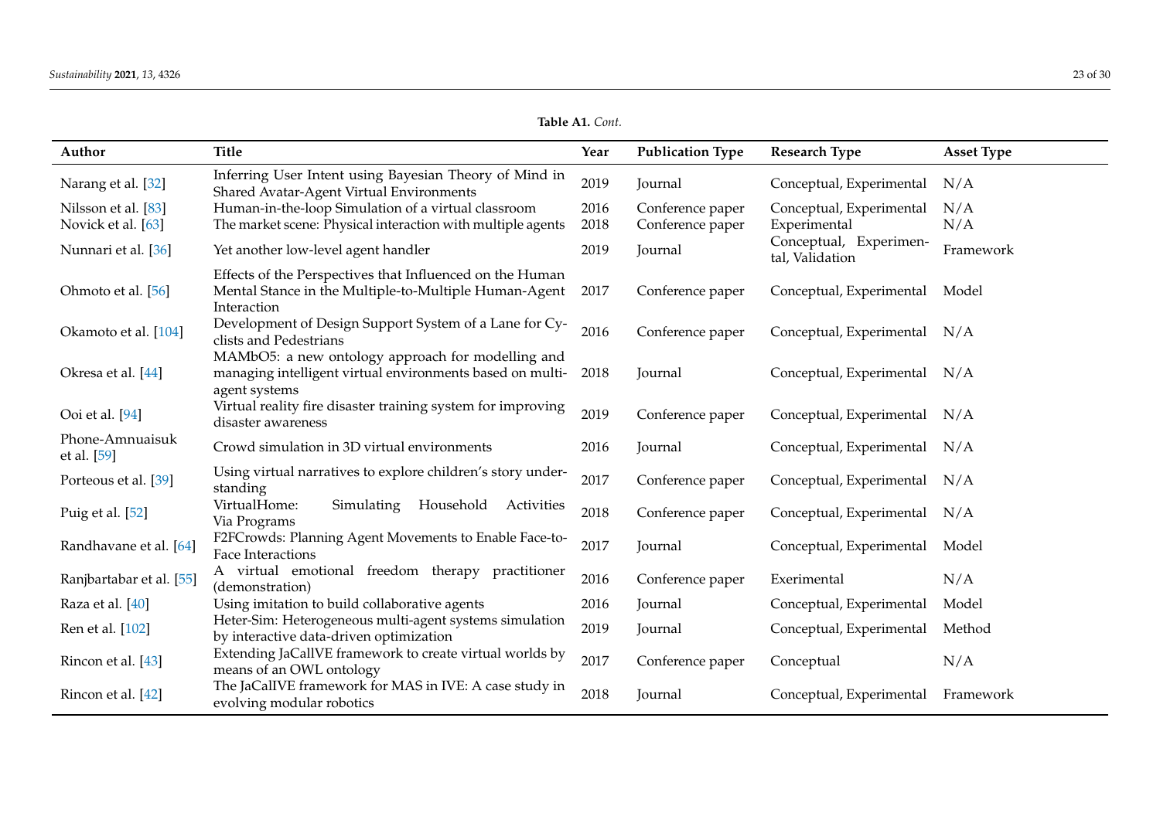**Table A1.** *Cont.*

| Author                                    | <b>Title</b>                                                                                                                     | Year         | <b>Publication Type</b>              | <b>Research Type</b>                      | <b>Asset Type</b> |
|-------------------------------------------|----------------------------------------------------------------------------------------------------------------------------------|--------------|--------------------------------------|-------------------------------------------|-------------------|
| Narang et al. [32]                        | Inferring User Intent using Bayesian Theory of Mind in<br>Shared Avatar-Agent Virtual Environments                               | 2019         | Journal                              | Conceptual, Experimental                  | N/A               |
| Nilsson et al. [83]<br>Novick et al. [63] | Human-in-the-loop Simulation of a virtual classroom<br>The market scene: Physical interaction with multiple agents               | 2016<br>2018 | Conference paper<br>Conference paper | Conceptual, Experimental<br>Experimental  | N/A<br>N/A        |
| Nunnari et al. [36]                       | Yet another low-level agent handler                                                                                              | 2019         | Journal                              | Conceptual, Experimen-<br>tal, Validation | Framework         |
| Ohmoto et al. [56]                        | Effects of the Perspectives that Influenced on the Human<br>Mental Stance in the Multiple-to-Multiple Human-Agent<br>Interaction | 2017         | Conference paper                     | Conceptual, Experimental                  | Model             |
| Okamoto et al. [104]                      | Development of Design Support System of a Lane for Cy-<br>clists and Pedestrians                                                 | 2016         | Conference paper                     | Conceptual, Experimental N/A              |                   |
| Okresa et al. [44]                        | MAMbO5: a new ontology approach for modelling and<br>managing intelligent virtual environments based on multi-<br>agent systems  | 2018         | Journal                              | Conceptual, Experimental N/A              |                   |
| Ooi et al. [94]                           | Virtual reality fire disaster training system for improving<br>disaster awareness                                                | 2019         | Conference paper                     | Conceptual, Experimental                  | N/A               |
| Phone-Amnuaisuk<br>et al. [59]            | Crowd simulation in 3D virtual environments                                                                                      | 2016         | Journal                              | Conceptual, Experimental N/A              |                   |
| Porteous et al. [39]                      | Using virtual narratives to explore children's story under-<br>standing                                                          | 2017         | Conference paper                     | Conceptual, Experimental                  | N/A               |
| Puig et al. [52]                          | VirtualHome:<br>Simulating<br>Household<br>Activities<br>Via Programs                                                            | 2018         | Conference paper                     | Conceptual, Experimental                  | N/A               |
| Randhavane et al. [64]                    | F2FCrowds: Planning Agent Movements to Enable Face-to-<br>Face Interactions                                                      | 2017         | Journal                              | Conceptual, Experimental                  | Model             |
| Ranjbartabar et al. [55]                  | A virtual emotional freedom therapy practitioner<br>(demonstration)                                                              | 2016         | Conference paper                     | Exerimental                               | N/A               |
| Raza et al. [40]                          | Using imitation to build collaborative agents                                                                                    | 2016         | Journal                              | Conceptual, Experimental                  | Model             |
| Ren et al. [102]                          | Heter-Sim: Heterogeneous multi-agent systems simulation<br>by interactive data-driven optimization                               | 2019         | Journal                              | Conceptual, Experimental                  | Method            |
| Rincon et al. [43]                        | Extending JaCallVE framework to create virtual worlds by<br>means of an OWL ontology                                             | 2017         | Conference paper                     | Conceptual                                | N/A               |
| Rincon et al. [42]                        | The JaCalIVE framework for MAS in IVE: A case study in<br>evolving modular robotics                                              | 2018         | Journal                              | Conceptual, Experimental                  | Framework         |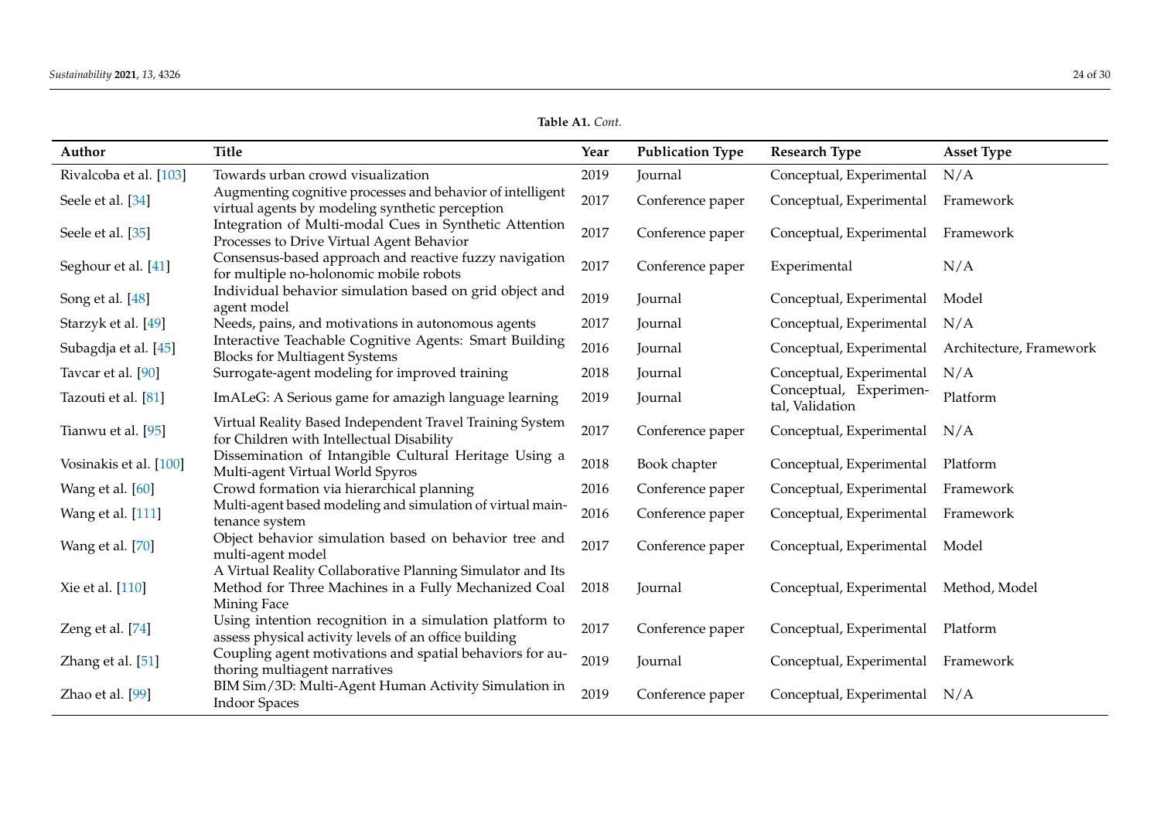| Author                 | <b>Title</b>                                                                                                                      | Year | <b>Publication Type</b> | <b>Research Type</b>                      | <b>Asset Type</b>       |
|------------------------|-----------------------------------------------------------------------------------------------------------------------------------|------|-------------------------|-------------------------------------------|-------------------------|
| Rivalcoba et al. [103] | Towards urban crowd visualization                                                                                                 | 2019 | Journal                 | Conceptual, Experimental                  | N/A                     |
| Seele et al. [34]      | Augmenting cognitive processes and behavior of intelligent<br>virtual agents by modeling synthetic perception                     | 2017 | Conference paper        | Conceptual, Experimental                  | Framework               |
| Seele et al. [35]      | Integration of Multi-modal Cues in Synthetic Attention<br>Processes to Drive Virtual Agent Behavior                               | 2017 | Conference paper        | Conceptual, Experimental                  | Framework               |
| Seghour et al. [41]    | Consensus-based approach and reactive fuzzy navigation<br>for multiple no-holonomic mobile robots                                 | 2017 | Conference paper        | Experimental                              | N/A                     |
| Song et al. [48]       | Individual behavior simulation based on grid object and<br>agent model                                                            | 2019 | Journal                 | Conceptual, Experimental                  | Model                   |
| Starzyk et al. [49]    | Needs, pains, and motivations in autonomous agents                                                                                | 2017 | Journal                 | Conceptual, Experimental                  | N/A                     |
| Subagdja et al. [45]   | Interactive Teachable Cognitive Agents: Smart Building<br><b>Blocks for Multiagent Systems</b>                                    | 2016 | Journal                 | Conceptual, Experimental                  | Architecture, Framework |
| Tavcar et al. [90]     | Surrogate-agent modeling for improved training                                                                                    | 2018 | Journal                 | Conceptual, Experimental                  | N/A                     |
| Tazouti et al. [81]    | ImALeG: A Serious game for amazigh language learning                                                                              | 2019 | Journal                 | Conceptual, Experimen-<br>tal, Validation | Platform                |
| Tianwu et al. [95]     | Virtual Reality Based Independent Travel Training System<br>for Children with Intellectual Disability                             | 2017 | Conference paper        | Conceptual, Experimental                  | N/A                     |
| Vosinakis et al. [100] | Dissemination of Intangible Cultural Heritage Using a<br>Multi-agent Virtual World Spyros                                         | 2018 | Book chapter            | Conceptual, Experimental                  | Platform                |
| Wang et al. [60]       | Crowd formation via hierarchical planning                                                                                         | 2016 | Conference paper        | Conceptual, Experimental                  | Framework               |
| Wang et al. [111]      | Multi-agent based modeling and simulation of virtual main-<br>tenance system                                                      | 2016 | Conference paper        | Conceptual, Experimental                  | Framework               |
| Wang et al. [70]       | Object behavior simulation based on behavior tree and<br>multi-agent model                                                        | 2017 | Conference paper        | Conceptual, Experimental                  | Model                   |
| Xie et al. [110]       | A Virtual Reality Collaborative Planning Simulator and Its<br>Method for Three Machines in a Fully Mechanized Coal<br>Mining Face | 2018 | Journal                 | Conceptual, Experimental                  | Method, Model           |
| Zeng et al. [74]       | Using intention recognition in a simulation platform to<br>assess physical activity levels of an office building                  | 2017 | Conference paper        | Conceptual, Experimental Platform         |                         |
| Zhang et al. [51]      | Coupling agent motivations and spatial behaviors for au-<br>thoring multiagent narratives                                         | 2019 | Journal                 | Conceptual, Experimental Framework        |                         |
| Zhao et al. [99]       | BIM Sim/3D: Multi-Agent Human Activity Simulation in<br><b>Indoor Spaces</b>                                                      | 2019 | Conference paper        | Conceptual, Experimental N/A              |                         |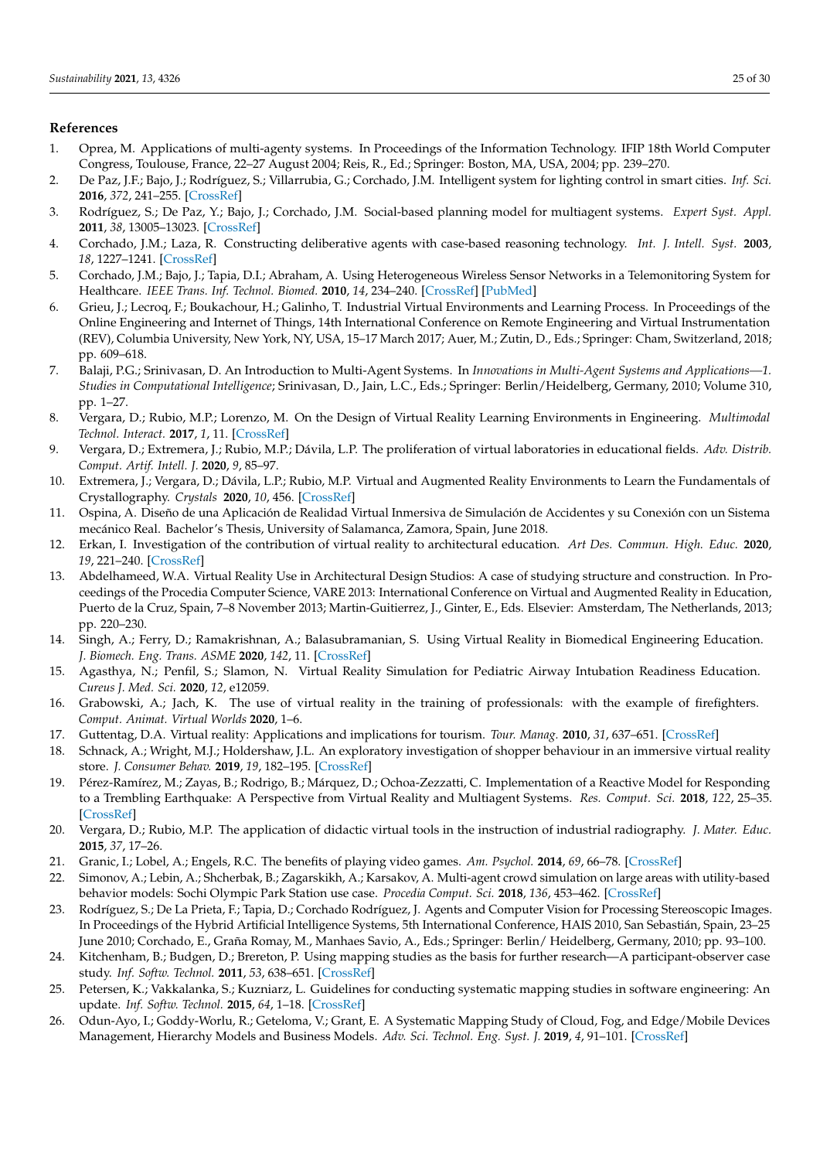### **References**

- <span id="page-24-0"></span>1. Oprea, M. Applications of multi-agenty systems. In Proceedings of the Information Technology. IFIP 18th World Computer Congress, Toulouse, France, 22–27 August 2004; Reis, R., Ed.; Springer: Boston, MA, USA, 2004; pp. 239–270.
- 2. De Paz, J.F.; Bajo, J.; Rodríguez, S.; Villarrubia, G.; Corchado, J.M. Intelligent system for lighting control in smart cities. *Inf. Sci.* **2016**, *372*, 241–255. [\[CrossRef\]](http://doi.org/10.1016/j.ins.2016.08.045)
- 3. Rodríguez, S.; De Paz, Y.; Bajo, J.; Corchado, J.M. Social-based planning model for multiagent systems. *Expert Syst. Appl.* **2011**, *38*, 13005–13023. [\[CrossRef\]](http://dx.doi.org/10.1016/j.eswa.2011.04.101)
- 4. Corchado, J.M.; Laza, R. Constructing deliberative agents with case-based reasoning technology. *Int. J. Intell. Syst.* **2003**, *18*, 1227–1241. [\[CrossRef\]](http://dx.doi.org/10.1002/int.10138)
- <span id="page-24-1"></span>5. Corchado, J.M.; Bajo, J.; Tapia, D.I.; Abraham, A. Using Heterogeneous Wireless Sensor Networks in a Telemonitoring System for Healthcare. *IEEE Trans. Inf. Technol. Biomed.* **2010**, *14*, 234–240. [\[CrossRef\]](http://dx.doi.org/10.1109/TITB.2009.2034369) [\[PubMed\]](http://www.ncbi.nlm.nih.gov/pubmed/19858034)
- <span id="page-24-2"></span>6. Grieu, J.; Lecroq, F.; Boukachour, H.; Galinho, T. Industrial Virtual Environments and Learning Process. In Proceedings of the Online Engineering and Internet of Things, 14th International Conference on Remote Engineering and Virtual Instrumentation (REV), Columbia University, New York, NY, USA, 15–17 March 2017; Auer, M.; Zutin, D., Eds.; Springer: Cham, Switzerland, 2018; pp. 609–618.
- <span id="page-24-3"></span>7. Balaji, P.G.; Srinivasan, D. An Introduction to Multi-Agent Systems. In *Innovations in Multi-Agent Systems and Applications—1. Studies in Computational Intelligence*; Srinivasan, D., Jain, L.C., Eds.; Springer: Berlin/Heidelberg, Germany, 2010; Volume 310, pp. 1–27.
- <span id="page-24-4"></span>8. Vergara, D.; Rubio, M.P.; Lorenzo, M. On the Design of Virtual Reality Learning Environments in Engineering. *Multimodal Technol. Interact.* **2017**, *1*, 11. [\[CrossRef\]](http://dx.doi.org/10.3390/mti1020011)
- <span id="page-24-7"></span>9. Vergara, D.; Extremera, J.; Rubio, M.P.; Dávila, L.P. The proliferation of virtual laboratories in educational fields. *Adv. Distrib. Comput. Artif. Intell. J.* **2020**, *9*, 85–97.
- <span id="page-24-5"></span>10. Extremera, J.; Vergara, D.; Dávila, L.P.; Rubio, M.P. Virtual and Augmented Reality Environments to Learn the Fundamentals of Crystallography. *Crystals* **2020**, *10*, 456. [\[CrossRef\]](http://dx.doi.org/10.3390/cryst10060456)
- <span id="page-24-6"></span>11. Ospina, A. Diseño de una Aplicación de Realidad Virtual Inmersiva de Simulación de Accidentes y su Conexión con un Sistema mecánico Real. Bachelor's Thesis, University of Salamanca, Zamora, Spain, June 2018.
- <span id="page-24-8"></span>12. Erkan, I. Investigation of the contribution of virtual reality to architectural education. *Art Des. Commun. High. Educ.* **2020**, *19*, 221–240. [\[CrossRef\]](http://dx.doi.org/10.1386/adch_00024_1)
- <span id="page-24-9"></span>13. Abdelhameed, W.A. Virtual Reality Use in Architectural Design Studios: A case of studying structure and construction. In Proceedings of the Procedia Computer Science, VARE 2013: International Conference on Virtual and Augmented Reality in Education, Puerto de la Cruz, Spain, 7–8 November 2013; Martin-Guitierrez, J., Ginter, E., Eds. Elsevier: Amsterdam, The Netherlands, 2013; pp. 220–230.
- <span id="page-24-22"></span><span id="page-24-10"></span>14. Singh, A.; Ferry, D.; Ramakrishnan, A.; Balasubramanian, S. Using Virtual Reality in Biomedical Engineering Education. *J. Biomech. Eng. Trans. ASME* **2020**, *142*, 11. [\[CrossRef\]](http://dx.doi.org/10.1115/1.4048005)
- <span id="page-24-11"></span>15. Agasthya, N.; Penfil, S.; Slamon, N. Virtual Reality Simulation for Pediatric Airway Intubation Readiness Education. *Cureus J. Med. Sci.* **2020**, *12*, e12059.
- <span id="page-24-12"></span>16. Grabowski, A.; Jach, K. The use of virtual reality in the training of professionals: with the example of firefighters. *Comput. Animat. Virtual Worlds* **2020**, 1–6.
- <span id="page-24-13"></span>17. Guttentag, D.A. Virtual reality: Applications and implications for tourism. *Tour. Manag.* **2010**, *31*, 637–651. [\[CrossRef\]](http://dx.doi.org/10.1016/j.tourman.2009.07.003)
- <span id="page-24-14"></span>18. Schnack, A.; Wright, M.J.; Holdershaw, J.L. An exploratory investigation of shopper behaviour in an immersive virtual reality store. *J. Consumer Behav.* **2019**, *19*, 182–195. [\[CrossRef\]](http://dx.doi.org/10.1002/cb.1803)
- <span id="page-24-15"></span>19. Pérez-Ramírez, M.; Zayas, B.; Rodrigo, B.; Márquez, D.; Ochoa-Zezzatti, C. Implementation of a Reactive Model for Responding to a Trembling Earthquake: A Perspective from Virtual Reality and Multiagent Systems. *Res. Comput. Sci.* **2018**, *122*, 25–35. [\[CrossRef\]](http://dx.doi.org/10.13053/rcs-122-1-2)
- <span id="page-24-16"></span>20. Vergara, D.; Rubio, M.P. The application of didactic virtual tools in the instruction of industrial radiography. *J. Mater. Educ.* **2015**, *37*, 17–26.
- <span id="page-24-17"></span>21. Granic, I.; Lobel, A.; Engels, R.C. The benefits of playing video games. *Am. Psychol.* **2014**, *69*, 66–78. [\[CrossRef\]](http://dx.doi.org/10.1037/a0034857)
- 22. Simonov, A.; Lebin, A.; Shcherbak, B.; Zagarskikh, A.; Karsakov, A. Multi-agent crowd simulation on large areas with utility-based behavior models: Sochi Olympic Park Station use case. *Procedia Comput. Sci.* **2018**, *136*, 453–462. [\[CrossRef\]](http://dx.doi.org/10.1016/j.procs.2018.08.266)
- <span id="page-24-18"></span>23. Rodríguez, S.; De La Prieta, F.; Tapia, D.; Corchado Rodríguez, J. Agents and Computer Vision for Processing Stereoscopic Images. In Proceedings of the Hybrid Artificial Intelligence Systems, 5th International Conference, HAIS 2010, San Sebastián, Spain, 23–25 June 2010; Corchado, E., Graña Romay, M., Manhaes Savio, A., Eds.; Springer: Berlin/ Heidelberg, Germany, 2010; pp. 93–100.
- <span id="page-24-19"></span>24. Kitchenham, B.; Budgen, D.; Brereton, P. Using mapping studies as the basis for further research—A participant-observer case study. *Inf. Softw. Technol.* **2011**, *53*, 638–651. [\[CrossRef\]](http://dx.doi.org/10.1016/j.infsof.2010.12.011)
- <span id="page-24-20"></span>25. Petersen, K.; Vakkalanka, S.; Kuzniarz, L. Guidelines for conducting systematic mapping studies in software engineering: An update. *Inf. Softw. Technol.* **2015**, *64*, 1–18. [\[CrossRef\]](http://dx.doi.org/10.1016/j.infsof.2015.03.007)
- <span id="page-24-21"></span>26. Odun-Ayo, I.; Goddy-Worlu, R.; Geteloma, V.; Grant, E. A Systematic Mapping Study of Cloud, Fog, and Edge/Mobile Devices Management, Hierarchy Models and Business Models. *Adv. Sci. Technol. Eng. Syst. J.* **2019**, *4*, 91–101. [\[CrossRef\]](http://dx.doi.org/10.25046/aj040212)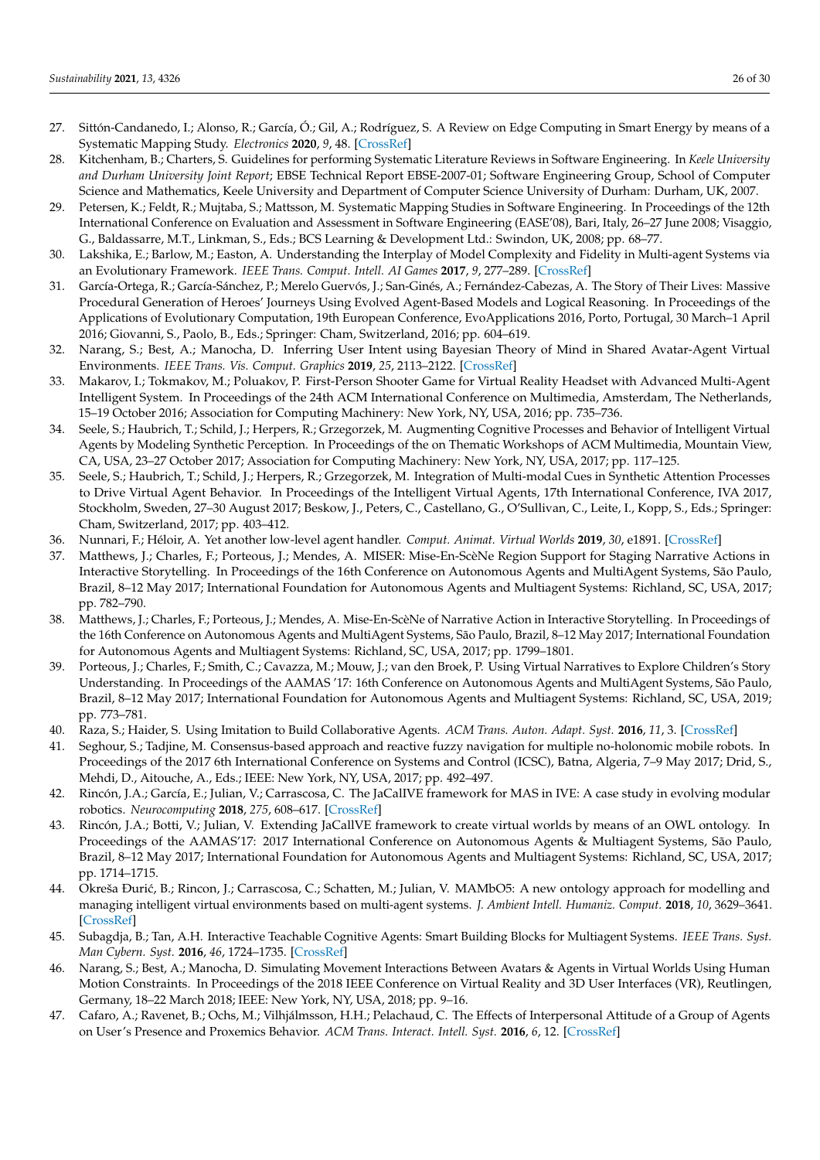- <span id="page-25-36"></span><span id="page-25-35"></span><span id="page-25-28"></span><span id="page-25-24"></span><span id="page-25-23"></span><span id="page-25-22"></span><span id="page-25-0"></span>27. Sittón-Candanedo, I.; Alonso, R.; García, Ó.; Gil, A.; Rodríguez, S. A Review on Edge Computing in Smart Energy by means of a Systematic Mapping Study. *Electronics* **2020**, *9*, 48. [\[CrossRef\]](http://dx.doi.org/10.3390/electronics9010048)
- <span id="page-25-1"></span>28. Kitchenham, B.; Charters, S. Guidelines for performing Systematic Literature Reviews in Software Engineering. In *Keele University and Durham University Joint Report*; EBSE Technical Report EBSE-2007-01; Software Engineering Group, School of Computer Science and Mathematics, Keele University and Department of Computer Science University of Durham: Durham, UK, 2007.
- <span id="page-25-29"></span><span id="page-25-26"></span><span id="page-25-2"></span>29. Petersen, K.; Feldt, R.; Mujtaba, S.; Mattsson, M. Systematic Mapping Studies in Software Engineering. In Proceedings of the 12th International Conference on Evaluation and Assessment in Software Engineering (EASE'08), Bari, Italy, 26–27 June 2008; Visaggio, G., Baldassarre, M.T., Linkman, S., Eds.; BCS Learning & Development Ltd.: Swindon, UK, 2008; pp. 68–77.
- <span id="page-25-3"></span>30. Lakshika, E.; Barlow, M.; Easton, A. Understanding the Interplay of Model Complexity and Fidelity in Multi-agent Systems via an Evolutionary Framework. *IEEE Trans. Comput. Intell. AI Games* **2017**, *9*, 277–289. [\[CrossRef\]](http://dx.doi.org/10.1109/TCIAIG.2016.2560882)
- <span id="page-25-25"></span><span id="page-25-5"></span>31. García-Ortega, R.; García-Sánchez, P.; Merelo Guervós, J.; San-Ginés, A.; Fernández-Cabezas, A. The Story of Their Lives: Massive Procedural Generation of Heroes' Journeys Using Evolved Agent-Based Models and Logical Reasoning. In Proceedings of the Applications of Evolutionary Computation, 19th European Conference, EvoApplications 2016, Porto, Portugal, 30 March–1 April 2016; Giovanni, S., Paolo, B., Eds.; Springer: Cham, Switzerland, 2016; pp. 604–619.
- <span id="page-25-31"></span><span id="page-25-6"></span>32. Narang, S.; Best, A.; Manocha, D. Inferring User Intent using Bayesian Theory of Mind in Shared Avatar-Agent Virtual Environments. *IEEE Trans. Vis. Comput. Graphics* **2019**, *25*, 2113–2122. [\[CrossRef\]](http://dx.doi.org/10.1109/TVCG.2019.2898800)
- <span id="page-25-37"></span><span id="page-25-32"></span><span id="page-25-7"></span>33. Makarov, I.; Tokmakov, M.; Poluakov, P. First-Person Shooter Game for Virtual Reality Headset with Advanced Multi-Agent Intelligent System. In Proceedings of the 24th ACM International Conference on Multimedia, Amsterdam, The Netherlands, 15–19 October 2016; Association for Computing Machinery: New York, NY, USA, 2016; pp. 735–736.
- <span id="page-25-34"></span><span id="page-25-8"></span>34. Seele, S.; Haubrich, T.; Schild, J.; Herpers, R.; Grzegorzek, M. Augmenting Cognitive Processes and Behavior of Intelligent Virtual Agents by Modeling Synthetic Perception. In Proceedings of the on Thematic Workshops of ACM Multimedia, Mountain View, CA, USA, 23–27 October 2017; Association for Computing Machinery: New York, NY, USA, 2017; pp. 117–125.
- <span id="page-25-33"></span><span id="page-25-9"></span>35. Seele, S.; Haubrich, T.; Schild, J.; Herpers, R.; Grzegorzek, M. Integration of Multi-modal Cues in Synthetic Attention Processes to Drive Virtual Agent Behavior. In Proceedings of the Intelligent Virtual Agents, 17th International Conference, IVA 2017, Stockholm, Sweden, 27–30 August 2017; Beskow, J., Peters, C., Castellano, G., O'Sullivan, C., Leite, I., Kopp, S., Eds.; Springer: Cham, Switzerland, 2017; pp. 403–412.
- <span id="page-25-30"></span><span id="page-25-4"></span>36. Nunnari, F.; Héloir, A. Yet another low-level agent handler. *Comput. Animat. Virtual Worlds* **2019**, *30*, e1891. [\[CrossRef\]](http://dx.doi.org/10.1002/cav.1891)
- <span id="page-25-10"></span>37. Matthews, J.; Charles, F.; Porteous, J.; Mendes, A. MISER: Mise-En-ScèNe Region Support for Staging Narrative Actions in Interactive Storytelling. In Proceedings of the 16th Conference on Autonomous Agents and MultiAgent Systems, São Paulo, Brazil, 8–12 May 2017; International Foundation for Autonomous Agents and Multiagent Systems: Richland, SC, USA, 2017; pp. 782–790.
- <span id="page-25-38"></span><span id="page-25-27"></span><span id="page-25-11"></span>38. Matthews, J.; Charles, F.; Porteous, J.; Mendes, A. Mise-En-ScèNe of Narrative Action in Interactive Storytelling. In Proceedings of the 16th Conference on Autonomous Agents and MultiAgent Systems, São Paulo, Brazil, 8–12 May 2017; International Foundation for Autonomous Agents and Multiagent Systems: Richland, SC, USA, 2017; pp. 1799–1801.
- <span id="page-25-21"></span><span id="page-25-12"></span>39. Porteous, J.; Charles, F.; Smith, C.; Cavazza, M.; Mouw, J.; van den Broek, P. Using Virtual Narratives to Explore Children's Story Understanding. In Proceedings of the AAMAS '17: 16th Conference on Autonomous Agents and MultiAgent Systems, São Paulo, Brazil, 8–12 May 2017; International Foundation for Autonomous Agents and Multiagent Systems: Richland, SC, USA, 2019; pp. 773–781.
- <span id="page-25-13"></span>40. Raza, S.; Haider, S. Using Imitation to Build Collaborative Agents. *ACM Trans. Auton. Adapt. Syst.* **2016**, *11*, 3. [\[CrossRef\]](http://dx.doi.org/10.1145/2831237)
- <span id="page-25-14"></span>41. Seghour, S.; Tadjine, M. Consensus-based approach and reactive fuzzy navigation for multiple no-holonomic mobile robots. In Proceedings of the 2017 6th International Conference on Systems and Control (ICSC), Batna, Algeria, 7–9 May 2017; Drid, S., Mehdi, D., Aitouche, A., Eds.; IEEE: New York, NY, USA, 2017; pp. 492–497.
- <span id="page-25-15"></span>42. Rincón, J.A.; García, E.; Julian, V.; Carrascosa, C. The JaCalIVE framework for MAS in IVE: A case study in evolving modular robotics. *Neurocomputing* **2018**, *275*, 608–617. [\[CrossRef\]](http://dx.doi.org/10.1016/j.neucom.2016.08.160)
- <span id="page-25-16"></span>43. Rincón, J.A.; Botti, V.; Julian, V. Extending JaCallVE framework to create virtual worlds by means of an OWL ontology. In Proceedings of the AAMAS'17: 2017 International Conference on Autonomous Agents & Multiagent Systems, São Paulo, Brazil, 8–12 May 2017; International Foundation for Autonomous Agents and Multiagent Systems: Richland, SC, USA, 2017; pp. 1714–1715.
- <span id="page-25-17"></span>44. Okreša Đurić, B.; Rincon, J.; Carrascosa, C.; Schatten, M.; Julian, V. MAMbO5: A new ontology approach for modelling and managing intelligent virtual environments based on multi-agent systems. *J. Ambient Intell. Humaniz. Comput.* **2018**, *10*, 3629–3641. [\[CrossRef\]](http://dx.doi.org/10.1007/s12652-018-1089-4)
- <span id="page-25-18"></span>45. Subagdja, B.; Tan, A.H. Interactive Teachable Cognitive Agents: Smart Building Blocks for Multiagent Systems. *IEEE Trans. Syst. Man Cybern. Syst.* **2016**, *46*, 1724–1735. [\[CrossRef\]](http://dx.doi.org/10.1109/TSMC.2016.2531656)
- <span id="page-25-19"></span>46. Narang, S.; Best, A.; Manocha, D. Simulating Movement Interactions Between Avatars & Agents in Virtual Worlds Using Human Motion Constraints. In Proceedings of the 2018 IEEE Conference on Virtual Reality and 3D User Interfaces (VR), Reutlingen, Germany, 18–22 March 2018; IEEE: New York, NY, USA, 2018; pp. 9–16.
- <span id="page-25-20"></span>47. Cafaro, A.; Ravenet, B.; Ochs, M.; Vilhjálmsson, H.H.; Pelachaud, C. The Effects of Interpersonal Attitude of a Group of Agents on User's Presence and Proxemics Behavior. *ACM Trans. Interact. Intell. Syst.* **2016**, *6*, 12. [\[CrossRef\]](http://dx.doi.org/10.1145/2914796)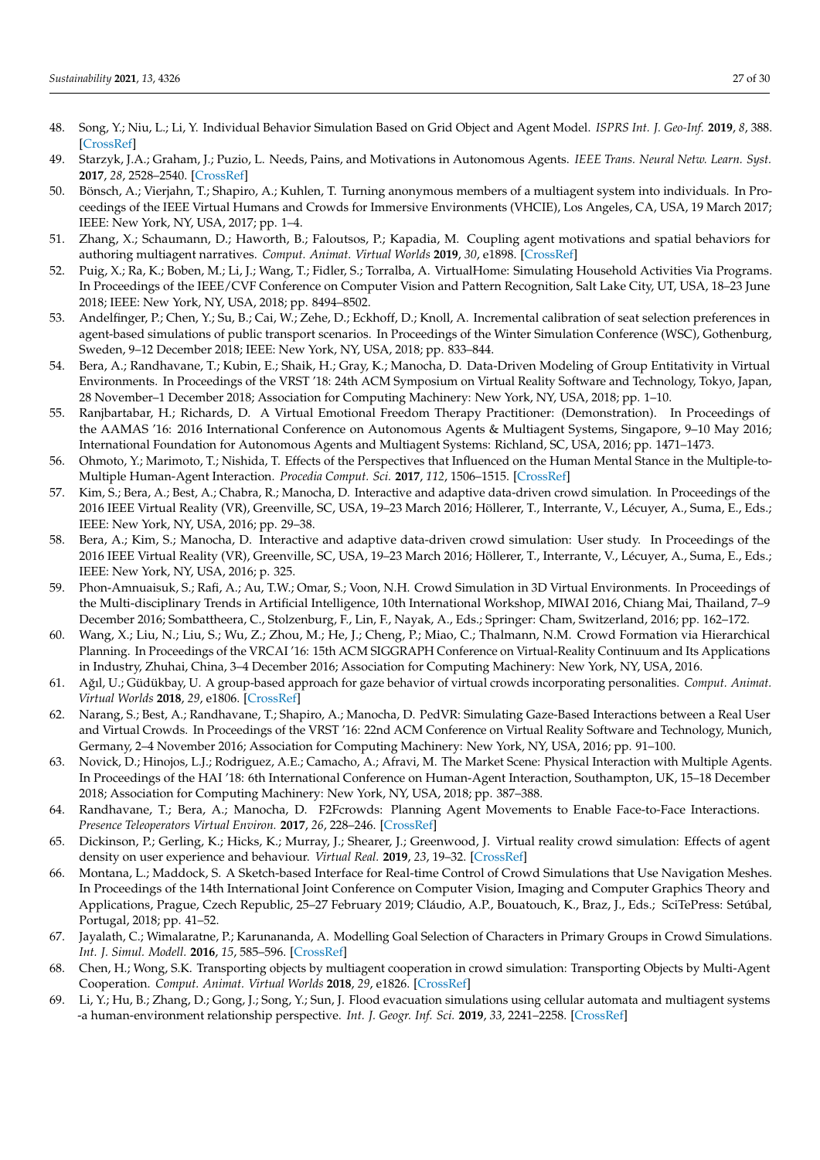- <span id="page-26-43"></span><span id="page-26-41"></span><span id="page-26-40"></span><span id="page-26-39"></span><span id="page-26-37"></span><span id="page-26-35"></span><span id="page-26-26"></span><span id="page-26-24"></span><span id="page-26-23"></span><span id="page-26-4"></span>48. Song, Y.; Niu, L.; Li, Y. Individual Behavior Simulation Based on Grid Object and Agent Model. *ISPRS Int. J. Geo-Inf.* **2019**, *8*, 388. [\[CrossRef\]](http://dx.doi.org/10.3390/ijgi8090388)
- <span id="page-26-30"></span><span id="page-26-5"></span>49. Starzyk, J.A.; Graham, J.; Puzio, L. Needs, Pains, and Motivations in Autonomous Agents. *IEEE Trans. Neural Netw. Learn. Syst.* **2017**, *28*, 2528–2540. [\[CrossRef\]](http://dx.doi.org/10.1109/TNNLS.2016.2596787)
- <span id="page-26-25"></span><span id="page-26-6"></span>50. Bönsch, A.; Vierjahn, T.; Shapiro, A.; Kuhlen, T. Turning anonymous members of a multiagent system into individuals. In Proceedings of the IEEE Virtual Humans and Crowds for Immersive Environments (VHCIE), Los Angeles, CA, USA, 19 March 2017; IEEE: New York, NY, USA, 2017; pp. 1–4.
- <span id="page-26-36"></span><span id="page-26-7"></span>51. Zhang, X.; Schaumann, D.; Haworth, B.; Faloutsos, P.; Kapadia, M. Coupling agent motivations and spatial behaviors for authoring multiagent narratives. *Comput. Animat. Virtual Worlds* **2019**, *30*, e1898. [\[CrossRef\]](http://dx.doi.org/10.1002/cav.1898)
- <span id="page-26-42"></span><span id="page-26-8"></span>52. Puig, X.; Ra, K.; Boben, M.; Li, J.; Wang, T.; Fidler, S.; Torralba, A. VirtualHome: Simulating Household Activities Via Programs. In Proceedings of the IEEE/CVF Conference on Computer Vision and Pattern Recognition, Salt Lake City, UT, USA, 18–23 June 2018; IEEE: New York, NY, USA, 2018; pp. 8494–8502.
- <span id="page-26-22"></span><span id="page-26-9"></span>53. Andelfinger, P.; Chen, Y.; Su, B.; Cai, W.; Zehe, D.; Eckhoff, D.; Knoll, A. Incremental calibration of seat selection preferences in agent-based simulations of public transport scenarios. In Proceedings of the Winter Simulation Conference (WSC), Gothenburg, Sweden, 9–12 December 2018; IEEE: New York, NY, USA, 2018; pp. 833–844.
- <span id="page-26-33"></span><span id="page-26-10"></span>54. Bera, A.; Randhavane, T.; Kubin, E.; Shaik, H.; Gray, K.; Manocha, D. Data-Driven Modeling of Group Entitativity in Virtual Environments. In Proceedings of the VRST '18: 24th ACM Symposium on Virtual Reality Software and Technology, Tokyo, Japan, 28 November–1 December 2018; Association for Computing Machinery: New York, NY, USA, 2018; pp. 1–10.
- <span id="page-26-34"></span><span id="page-26-11"></span>55. Ranjbartabar, H.; Richards, D. A Virtual Emotional Freedom Therapy Practitioner: (Demonstration). In Proceedings of the AAMAS '16: 2016 International Conference on Autonomous Agents & Multiagent Systems, Singapore, 9–10 May 2016; International Foundation for Autonomous Agents and Multiagent Systems: Richland, SC, USA, 2016; pp. 1471–1473.
- <span id="page-26-38"></span><span id="page-26-0"></span>56. Ohmoto, Y.; Marimoto, T.; Nishida, T. Effects of the Perspectives that Influenced on the Human Mental Stance in the Multiple-to-Multiple Human-Agent Interaction. *Procedia Comput. Sci.* **2017**, *112*, 1506–1515. [\[CrossRef\]](http://dx.doi.org/10.1016/j.procs.2017.08.046)
- <span id="page-26-28"></span><span id="page-26-1"></span>57. Kim, S.; Bera, A.; Best, A.; Chabra, R.; Manocha, D. Interactive and adaptive data-driven crowd simulation. In Proceedings of the 2016 IEEE Virtual Reality (VR), Greenville, SC, USA, 19–23 March 2016; Höllerer, T., Interrante, V., Lécuyer, A., Suma, E., Eds.; IEEE: New York, NY, USA, 2016; pp. 29–38.
- <span id="page-26-32"></span><span id="page-26-12"></span>58. Bera, A.; Kim, S.; Manocha, D. Interactive and adaptive data-driven crowd simulation: User study. In Proceedings of the 2016 IEEE Virtual Reality (VR), Greenville, SC, USA, 19–23 March 2016; Höllerer, T., Interrante, V., Lécuyer, A., Suma, E., Eds.; IEEE: New York, NY, USA, 2016; p. 325.
- <span id="page-26-29"></span><span id="page-26-13"></span>59. Phon-Amnuaisuk, S.; Rafi, A.; Au, T.W.; Omar, S.; Voon, N.H. Crowd Simulation in 3D Virtual Environments. In Proceedings of the Multi-disciplinary Trends in Artificial Intelligence, 10th International Workshop, MIWAI 2016, Chiang Mai, Thailand, 7–9 December 2016; Sombattheera, C., Stolzenburg, F., Lin, F., Nayak, A., Eds.; Springer: Cham, Switzerland, 2016; pp. 162–172.
- <span id="page-26-31"></span><span id="page-26-27"></span><span id="page-26-14"></span>60. Wang, X.; Liu, N.; Liu, S.; Wu, Z.; Zhou, M.; He, J.; Cheng, P.; Miao, C.; Thalmann, N.M. Crowd Formation via Hierarchical Planning. In Proceedings of the VRCAI '16: 15th ACM SIGGRAPH Conference on Virtual-Reality Continuum and Its Applications in Industry, Zhuhai, China, 3–4 December 2016; Association for Computing Machinery: New York, NY, USA, 2016.
- <span id="page-26-15"></span>61. A ˘gıl, U.; Güdükbay, U. A group-based approach for gaze behavior of virtual crowds incorporating personalities. *Comput. Animat. Virtual Worlds* **2018**, *29*, e1806. [\[CrossRef\]](http://dx.doi.org/10.1002/cav.1806)
- <span id="page-26-16"></span>62. Narang, S.; Best, A.; Randhavane, T.; Shapiro, A.; Manocha, D. PedVR: Simulating Gaze-Based Interactions between a Real User and Virtual Crowds. In Proceedings of the VRST '16: 22nd ACM Conference on Virtual Reality Software and Technology, Munich, Germany, 2–4 November 2016; Association for Computing Machinery: New York, NY, USA, 2016; pp. 91–100.
- <span id="page-26-17"></span>63. Novick, D.; Hinojos, L.J.; Rodriguez, A.E.; Camacho, A.; Afravi, M. The Market Scene: Physical Interaction with Multiple Agents. In Proceedings of the HAI '18: 6th International Conference on Human-Agent Interaction, Southampton, UK, 15–18 December 2018; Association for Computing Machinery: New York, NY, USA, 2018; pp. 387–388.
- <span id="page-26-18"></span>64. Randhavane, T.; Bera, A.; Manocha, D. F2Fcrowds: Planning Agent Movements to Enable Face-to-Face Interactions. *Presence Teleoperators Virtual Environ.* **2017**, *26*, 228–246. [\[CrossRef\]](http://dx.doi.org/10.1162/PRES_a_00294)
- <span id="page-26-19"></span>65. Dickinson, P.; Gerling, K.; Hicks, K.; Murray, J.; Shearer, J.; Greenwood, J. Virtual reality crowd simulation: Effects of agent density on user experience and behaviour. *Virtual Real.* **2019**, *23*, 19–32. [\[CrossRef\]](http://dx.doi.org/10.1007/s10055-018-0365-0)
- <span id="page-26-20"></span>66. Montana, L.; Maddock, S. A Sketch-based Interface for Real-time Control of Crowd Simulations that Use Navigation Meshes. In Proceedings of the 14th International Joint Conference on Computer Vision, Imaging and Computer Graphics Theory and Applications, Prague, Czech Republic, 25–27 February 2019; Cláudio, A.P., Bouatouch, K., Braz, J., Eds.; SciTePress: Setúbal, Portugal, 2018; pp. 41–52.
- <span id="page-26-21"></span>67. Jayalath, C.; Wimalaratne, P.; Karunananda, A. Modelling Goal Selection of Characters in Primary Groups in Crowd Simulations. *Int. J. Simul. Modell.* **2016**, *15*, 585–596. [\[CrossRef\]](http://dx.doi.org/10.2507/IJSIMM15(4)1.323)
- <span id="page-26-2"></span>68. Chen, H.; Wong, S.K. Transporting objects by multiagent cooperation in crowd simulation: Transporting Objects by Multi-Agent Cooperation. *Comput. Animat. Virtual Worlds* **2018**, *29*, e1826. [\[CrossRef\]](http://dx.doi.org/10.1002/cav.1826)
- <span id="page-26-3"></span>69. Li, Y.; Hu, B.; Zhang, D.; Gong, J.; Song, Y.; Sun, J. Flood evacuation simulations using cellular automata and multiagent systems -a human-environment relationship perspective. *Int. J. Geogr. Inf. Sci.* **2019**, *33*, 2241–2258. [\[CrossRef\]](http://dx.doi.org/10.1080/13658816.2019.1622015)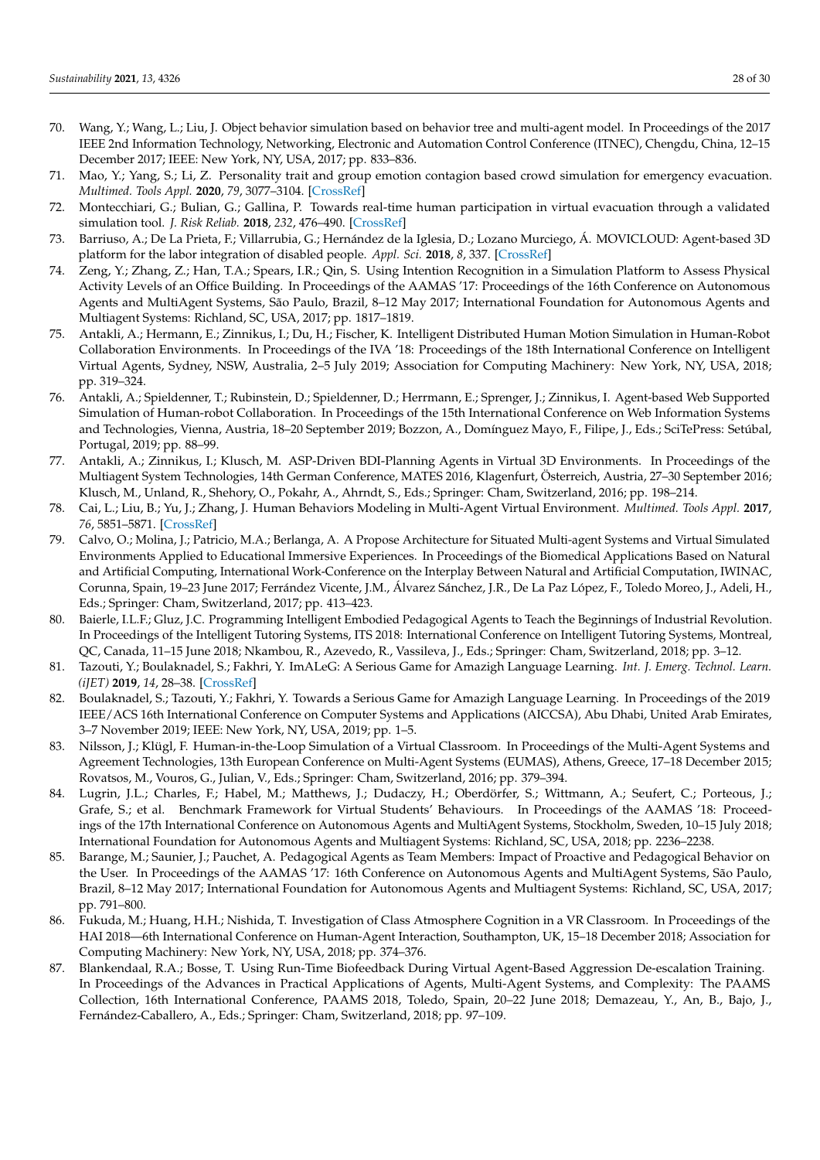- <span id="page-27-34"></span><span id="page-27-33"></span><span id="page-27-30"></span><span id="page-27-29"></span><span id="page-27-23"></span><span id="page-27-20"></span><span id="page-27-19"></span><span id="page-27-18"></span><span id="page-27-6"></span>70. Wang, Y.; Wang, L.; Liu, J. Object behavior simulation based on behavior tree and multi-agent model. In Proceedings of the 2017 IEEE 2nd Information Technology, Networking, Electronic and Automation Control Conference (ITNEC), Chengdu, China, 12–15 December 2017; IEEE: New York, NY, USA, 2017; pp. 833–836.
- <span id="page-27-26"></span><span id="page-27-7"></span>71. Mao, Y.; Yang, S.; Li, Z. Personality trait and group emotion contagion based crowd simulation for emergency evacuation. *Multimed. Tools Appl.* **2020**, *79*, 3077–3104. [\[CrossRef\]](http://dx.doi.org/10.1007/s11042-018-6069-3)
- <span id="page-27-0"></span>72. Montecchiari, G.; Bulian, G.; Gallina, P. Towards real-time human participation in virtual evacuation through a validated simulation tool. *J. Risk Reliab.* **2018**, *232*, 476–490. [\[CrossRef\]](http://dx.doi.org/10.1177/1748006X17705046)
- <span id="page-27-1"></span>73. Barriuso, A.; De La Prieta, F.; Villarrubia, G.; Hernández de la Iglesia, D.; Lozano Murciego, Á. MOVICLOUD: Agent-based 3D platform for the labor integration of disabled people. *Appl. Sci.* **2018**, *8*, 337. [\[CrossRef\]](http://dx.doi.org/10.3390/app8030337)
- <span id="page-27-21"></span><span id="page-27-8"></span>74. Zeng, Y.; Zhang, Z.; Han, T.A.; Spears, I.R.; Qin, S. Using Intention Recognition in a Simulation Platform to Assess Physical Activity Levels of an Office Building. In Proceedings of the AAMAS '17: Proceedings of the 16th Conference on Autonomous Agents and MultiAgent Systems, São Paulo, Brazil, 8–12 May 2017; International Foundation for Autonomous Agents and Multiagent Systems: Richland, SC, USA, 2017; pp. 1817–1819.
- <span id="page-27-32"></span><span id="page-27-25"></span><span id="page-27-9"></span>75. Antakli, A.; Hermann, E.; Zinnikus, I.; Du, H.; Fischer, K. Intelligent Distributed Human Motion Simulation in Human-Robot Collaboration Environments. In Proceedings of the IVA '18: Proceedings of the 18th International Conference on Intelligent Virtual Agents, Sydney, NSW, Australia, 2–5 July 2019; Association for Computing Machinery: New York, NY, USA, 2018; pp. 319–324.
- <span id="page-27-31"></span><span id="page-27-10"></span>76. Antakli, A.; Spieldenner, T.; Rubinstein, D.; Spieldenner, D.; Herrmann, E.; Sprenger, J.; Zinnikus, I. Agent-based Web Supported Simulation of Human-robot Collaboration. In Proceedings of the 15th International Conference on Web Information Systems and Technologies, Vienna, Austria, 18–20 September 2019; Bozzon, A., Domínguez Mayo, F., Filipe, J., Eds.; SciTePress: Setúbal, Portugal, 2019; pp. 88–99.
- <span id="page-27-28"></span><span id="page-27-11"></span>77. Antakli, A.; Zinnikus, I.; Klusch, M. ASP-Driven BDI-Planning Agents in Virtual 3D Environments. In Proceedings of the Multiagent System Technologies, 14th German Conference, MATES 2016, Klagenfurt, Österreich, Austria, 27–30 September 2016; Klusch, M., Unland, R., Shehory, O., Pokahr, A., Ahrndt, S., Eds.; Springer: Cham, Switzerland, 2016; pp. 198–214.
- <span id="page-27-22"></span><span id="page-27-2"></span>78. Cai, L.; Liu, B.; Yu, J.; Zhang, J. Human Behaviors Modeling in Multi-Agent Virtual Environment. *Multimed. Tools Appl.* **2017**, *76*, 5851–5871. [\[CrossRef\]](http://dx.doi.org/10.1007/s11042-015-2547-z)
- <span id="page-27-27"></span><span id="page-27-3"></span>79. Calvo, O.; Molina, J.; Patricio, M.A.; Berlanga, A. A Propose Architecture for Situated Multi-agent Systems and Virtual Simulated Environments Applied to Educational Immersive Experiences. In Proceedings of the Biomedical Applications Based on Natural and Artificial Computing, International Work-Conference on the Interplay Between Natural and Artificial Computation, IWINAC, Corunna, Spain, 19–23 June 2017; Ferrández Vicente, J.M., Álvarez Sánchez, J.R., De La Paz López, F., Toledo Moreo, J., Adeli, H., Eds.; Springer: Cham, Switzerland, 2017; pp. 413–423.
- <span id="page-27-24"></span><span id="page-27-12"></span>80. Baierle, I.L.F.; Gluz, J.C. Programming Intelligent Embodied Pedagogical Agents to Teach the Beginnings of Industrial Revolution. In Proceedings of the Intelligent Tutoring Systems, ITS 2018: International Conference on Intelligent Tutoring Systems, Montreal, QC, Canada, 11–15 June 2018; Nkambou, R., Azevedo, R., Vassileva, J., Eds.; Springer: Cham, Switzerland, 2018; pp. 3–12.
- <span id="page-27-13"></span>81. Tazouti, Y.; Boulaknadel, S.; Fakhri, Y. ImALeG: A Serious Game for Amazigh Language Learning. *Int. J. Emerg. Technol. Learn. (iJET)* **2019**, *14*, 28–38. [\[CrossRef\]](http://dx.doi.org/10.3991/ijet.v14i18.10854)
- <span id="page-27-14"></span>82. Boulaknadel, S.; Tazouti, Y.; Fakhri, Y. Towards a Serious Game for Amazigh Language Learning. In Proceedings of the 2019 IEEE/ACS 16th International Conference on Computer Systems and Applications (AICCSA), Abu Dhabi, United Arab Emirates, 3–7 November 2019; IEEE: New York, NY, USA, 2019; pp. 1–5.
- <span id="page-27-15"></span>83. Nilsson, J.; Klügl, F. Human-in-the-Loop Simulation of a Virtual Classroom. In Proceedings of the Multi-Agent Systems and Agreement Technologies, 13th European Conference on Multi-Agent Systems (EUMAS), Athens, Greece, 17–18 December 2015; Rovatsos, M., Vouros, G., Julian, V., Eds.; Springer: Cham, Switzerland, 2016; pp. 379–394.
- <span id="page-27-16"></span>84. Lugrin, J.L.; Charles, F.; Habel, M.; Matthews, J.; Dudaczy, H.; Oberdörfer, S.; Wittmann, A.; Seufert, C.; Porteous, J.; Grafe, S.; et al. Benchmark Framework for Virtual Students' Behaviours. In Proceedings of the AAMAS '18: Proceedings of the 17th International Conference on Autonomous Agents and MultiAgent Systems, Stockholm, Sweden, 10–15 July 2018; International Foundation for Autonomous Agents and Multiagent Systems: Richland, SC, USA, 2018; pp. 2236–2238.
- <span id="page-27-17"></span>Barange, M.; Saunier, J.; Pauchet, A. Pedagogical Agents as Team Members: Impact of Proactive and Pedagogical Behavior on the User. In Proceedings of the AAMAS '17: 16th Conference on Autonomous Agents and MultiAgent Systems, São Paulo, Brazil, 8–12 May 2017; International Foundation for Autonomous Agents and Multiagent Systems: Richland, SC, USA, 2017; pp. 791–800.
- <span id="page-27-4"></span>86. Fukuda, M.; Huang, H.H.; Nishida, T. Investigation of Class Atmosphere Cognition in a VR Classroom. In Proceedings of the HAI 2018—6th International Conference on Human-Agent Interaction, Southampton, UK, 15–18 December 2018; Association for Computing Machinery: New York, NY, USA, 2018; pp. 374–376.
- <span id="page-27-5"></span>87. Blankendaal, R.A.; Bosse, T. Using Run-Time Biofeedback During Virtual Agent-Based Aggression De-escalation Training. In Proceedings of the Advances in Practical Applications of Agents, Multi-Agent Systems, and Complexity: The PAAMS Collection, 16th International Conference, PAAMS 2018, Toledo, Spain, 20–22 June 2018; Demazeau, Y., An, B., Bajo, J., Fernández-Caballero, A., Eds.; Springer: Cham, Switzerland, 2018; pp. 97–109.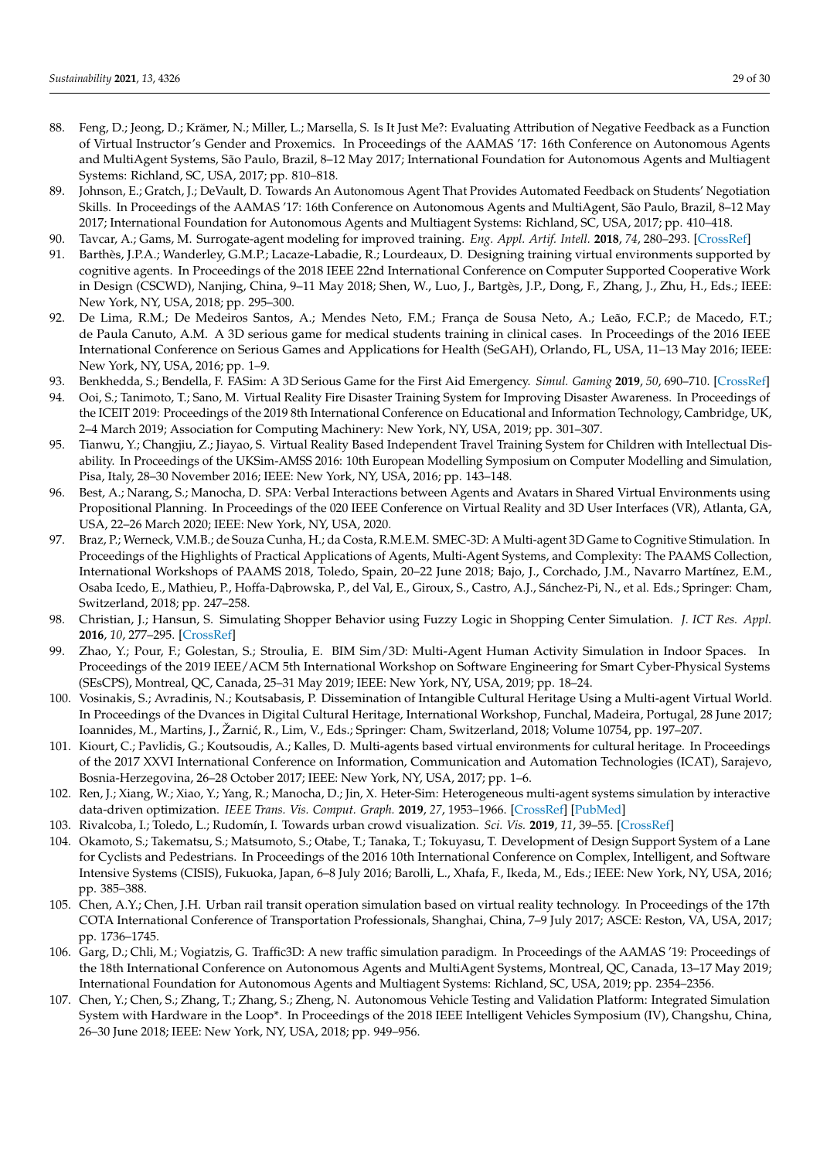- <span id="page-28-37"></span><span id="page-28-36"></span><span id="page-28-33"></span><span id="page-28-30"></span><span id="page-28-28"></span><span id="page-28-27"></span><span id="page-28-22"></span><span id="page-28-21"></span><span id="page-28-20"></span><span id="page-28-5"></span>88. Feng, D.; Jeong, D.; Krämer, N.; Miller, L.; Marsella, S. Is It Just Me?: Evaluating Attribution of Negative Feedback as a Function of Virtual Instructor's Gender and Proxemics. In Proceedings of the AAMAS '17: 16th Conference on Autonomous Agents and MultiAgent Systems, São Paulo, Brazil, 8–12 May 2017; International Foundation for Autonomous Agents and Multiagent Systems: Richland, SC, USA, 2017; pp. 810–818.
- <span id="page-28-23"></span><span id="page-28-6"></span>89. Johnson, E.; Gratch, J.; DeVault, D. Towards An Autonomous Agent That Provides Automated Feedback on Students' Negotiation Skills. In Proceedings of the AAMAS '17: 16th Conference on Autonomous Agents and MultiAgent, São Paulo, Brazil, 8–12 May 2017; International Foundation for Autonomous Agents and Multiagent Systems: Richland, SC, USA, 2017; pp. 410–418.
- <span id="page-28-7"></span>90. Tavcar, A.; Gams, M. Surrogate-agent modeling for improved training. *Eng. Appl. Artif. Intell.* **2018**, *74*, 280–293. [\[CrossRef\]](http://dx.doi.org/10.1016/j.engappai.2018.07.001)
- <span id="page-28-26"></span><span id="page-28-8"></span>91. Barthès, J.P.A.; Wanderley, G.M.P.; Lacaze-Labadie, R.; Lourdeaux, D. Designing training virtual environments supported by cognitive agents. In Proceedings of the 2018 IEEE 22nd International Conference on Computer Supported Cooperative Work in Design (CSCWD), Nanjing, China, 9–11 May 2018; Shen, W., Luo, J., Bartgès, J.P., Dong, F., Zhang, J., Zhu, H., Eds.; IEEE: New York, NY, USA, 2018; pp. 295–300.
- <span id="page-28-39"></span><span id="page-28-9"></span>92. De Lima, R.M.; De Medeiros Santos, A.; Mendes Neto, F.M.; França de Sousa Neto, A.; Leão, F.C.P.; de Macedo, F.T.; de Paula Canuto, A.M. A 3D serious game for medical students training in clinical cases. In Proceedings of the 2016 IEEE International Conference on Serious Games and Applications for Health (SeGAH), Orlando, FL, USA, 11–13 May 2016; IEEE: New York, NY, USA, 2016; pp. 1–9.
- <span id="page-28-38"></span><span id="page-28-10"></span>93. Benkhedda, S.; Bendella, F. FASim: A 3D Serious Game for the First Aid Emergency. *Simul. Gaming* **2019**, *50*, 690–710. [\[CrossRef\]](http://dx.doi.org/10.1177/1046878119865913)
- <span id="page-28-31"></span><span id="page-28-11"></span>94. Ooi, S.; Tanimoto, T.; Sano, M. Virtual Reality Fire Disaster Training System for Improving Disaster Awareness. In Proceedings of the ICEIT 2019: Proceedings of the 2019 8th International Conference on Educational and Information Technology, Cambridge, UK, 2–4 March 2019; Association for Computing Machinery: New York, NY, USA, 2019; pp. 301–307.
- <span id="page-28-34"></span><span id="page-28-0"></span>95. Tianwu, Y.; Changjiu, Z.; Jiayao, S. Virtual Reality Based Independent Travel Training System for Children with Intellectual Disability. In Proceedings of the UKSim-AMSS 2016: 10th European Modelling Symposium on Computer Modelling and Simulation, Pisa, Italy, 28–30 November 2016; IEEE: New York, NY, USA, 2016; pp. 143–148.
- <span id="page-28-35"></span><span id="page-28-32"></span><span id="page-28-1"></span>96. Best, A.; Narang, S.; Manocha, D. SPA: Verbal Interactions between Agents and Avatars in Shared Virtual Environments using Propositional Planning. In Proceedings of the 020 IEEE Conference on Virtual Reality and 3D User Interfaces (VR), Atlanta, GA, USA, 22–26 March 2020; IEEE: New York, NY, USA, 2020.
- <span id="page-28-25"></span><span id="page-28-2"></span>97. Braz, P.; Werneck, V.M.B.; de Souza Cunha, H.; da Costa, R.M.E.M. SMEC-3D: A Multi-agent 3D Game to Cognitive Stimulation. In Proceedings of the Highlights of Practical Applications of Agents, Multi-Agent Systems, and Complexity: The PAAMS Collection, International Workshops of PAAMS 2018, Toledo, Spain, 20–22 June 2018; Bajo, J., Corchado, J.M., Navarro Martínez, E.M., Osaba Icedo, E., Mathieu, P., Hoffa-Dabrowska, P., del Val, E., Giroux, S., Castro, A.J., Sánchez-Pi, N., et al. Eds.; Springer: Cham, Switzerland, 2018; pp. 247–258.
- <span id="page-28-29"></span><span id="page-28-3"></span>98. Christian, J.; Hansun, S. Simulating Shopper Behavior using Fuzzy Logic in Shopping Center Simulation. *J. ICT Res. Appl.* **2016**, *10*, 277–295. [\[CrossRef\]](http://dx.doi.org/10.5614/itbj.ict.res.appl.2016.10.3.6)
- <span id="page-28-24"></span><span id="page-28-4"></span>99. Zhao, Y.; Pour, F.; Golestan, S.; Stroulia, E. BIM Sim/3D: Multi-Agent Human Activity Simulation in Indoor Spaces. In Proceedings of the 2019 IEEE/ACM 5th International Workshop on Software Engineering for Smart Cyber-Physical Systems (SEsCPS), Montreal, QC, Canada, 25–31 May 2019; IEEE: New York, NY, USA, 2019; pp. 18–24.
- <span id="page-28-12"></span>100. Vosinakis, S.; Avradinis, N.; Koutsabasis, P. Dissemination of Intangible Cultural Heritage Using a Multi-agent Virtual World. In Proceedings of the Dvances in Digital Cultural Heritage, International Workshop, Funchal, Madeira, Portugal, 28 June 2017; Ioannides, M., Martins, J., Žarni´c, R., Lim, V., Eds.; Springer: Cham, Switzerland, 2018; Volume 10754, pp. 197–207.
- <span id="page-28-13"></span>101. Kiourt, C.; Pavlidis, G.; Koutsoudis, A.; Kalles, D. Multi-agents based virtual environments for cultural heritage. In Proceedings of the 2017 XXVI International Conference on Information, Communication and Automation Technologies (ICAT), Sarajevo, Bosnia-Herzegovina, 26–28 October 2017; IEEE: New York, NY, USA, 2017; pp. 1–6.
- <span id="page-28-14"></span>102. Ren, J.; Xiang, W.; Xiao, Y.; Yang, R.; Manocha, D.; Jin, X. Heter-Sim: Heterogeneous multi-agent systems simulation by interactive data-driven optimization. *IEEE Trans. Vis. Comput. Graph.* **2019**, *27*, 1953–1966. [\[CrossRef\]](http://dx.doi.org/10.1109/TVCG.2019.2946769) [\[PubMed\]](http://www.ncbi.nlm.nih.gov/pubmed/31613770)
- <span id="page-28-15"></span>103. Rivalcoba, I.; Toledo, L.; Rudomín, I. Towards urban crowd visualization. *Sci. Vis.* **2019**, *11*, 39–55. [\[CrossRef\]](http://dx.doi.org/10.26583/sv.11.2.04)
- <span id="page-28-16"></span>104. Okamoto, S.; Takematsu, S.; Matsumoto, S.; Otabe, T.; Tanaka, T.; Tokuyasu, T. Development of Design Support System of a Lane for Cyclists and Pedestrians. In Proceedings of the 2016 10th International Conference on Complex, Intelligent, and Software Intensive Systems (CISIS), Fukuoka, Japan, 6–8 July 2016; Barolli, L., Xhafa, F., Ikeda, M., Eds.; IEEE: New York, NY, USA, 2016; pp. 385–388.
- <span id="page-28-17"></span>105. Chen, A.Y.; Chen, J.H. Urban rail transit operation simulation based on virtual reality technology. In Proceedings of the 17th COTA International Conference of Transportation Professionals, Shanghai, China, 7–9 July 2017; ASCE: Reston, VA, USA, 2017; pp. 1736–1745.
- <span id="page-28-18"></span>106. Garg, D.; Chli, M.; Vogiatzis, G. Traffic3D: A new traffic simulation paradigm. In Proceedings of the AAMAS '19: Proceedings of the 18th International Conference on Autonomous Agents and MultiAgent Systems, Montreal, QC, Canada, 13–17 May 2019; International Foundation for Autonomous Agents and Multiagent Systems: Richland, SC, USA, 2019; pp. 2354–2356.
- <span id="page-28-19"></span>107. Chen, Y.; Chen, S.; Zhang, T.; Zhang, S.; Zheng, N. Autonomous Vehicle Testing and Validation Platform: Integrated Simulation System with Hardware in the Loop\*. In Proceedings of the 2018 IEEE Intelligent Vehicles Symposium (IV), Changshu, China, 26–30 June 2018; IEEE: New York, NY, USA, 2018; pp. 949–956.